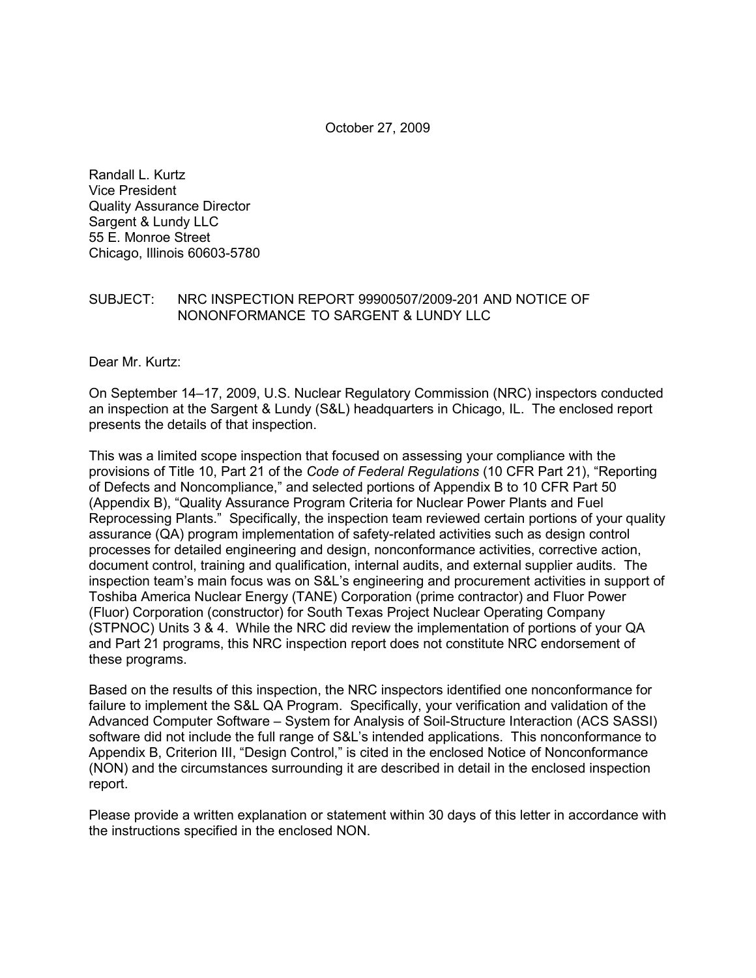October 27, 2009

Randall L. Kurtz Vice President Quality Assurance Director Sargent & Lundy LLC 55 E. Monroe Street Chicago, Illinois 60603-5780

#### SUBJECT: NRC INSPECTION REPORT 99900507/2009-201 AND NOTICE OF NONONFORMANCE TO SARGENT & LUNDY LLC

Dear Mr. Kurtz:

On September 14–17, 2009, U.S. Nuclear Regulatory Commission (NRC) inspectors conducted an inspection at the Sargent & Lundy (S&L) headquarters in Chicago, IL. The enclosed report presents the details of that inspection.

This was a limited scope inspection that focused on assessing your compliance with the provisions of Title 10, Part 21 of the *Code of Federal Regulations* (10 CFR Part 21), "Reporting of Defects and Noncompliance," and selected portions of Appendix B to 10 CFR Part 50 (Appendix B), "Quality Assurance Program Criteria for Nuclear Power Plants and Fuel Reprocessing Plants." Specifically, the inspection team reviewed certain portions of your quality assurance (QA) program implementation of safety-related activities such as design control processes for detailed engineering and design, nonconformance activities, corrective action, document control, training and qualification, internal audits, and external supplier audits. The inspection team's main focus was on S&L's engineering and procurement activities in support of Toshiba America Nuclear Energy (TANE) Corporation (prime contractor) and Fluor Power (Fluor) Corporation (constructor) for South Texas Project Nuclear Operating Company (STPNOC) Units 3 & 4. While the NRC did review the implementation of portions of your QA and Part 21 programs, this NRC inspection report does not constitute NRC endorsement of these programs.

Based on the results of this inspection, the NRC inspectors identified one nonconformance for failure to implement the S&L QA Program. Specifically, your verification and validation of the Advanced Computer Software – System for Analysis of Soil-Structure Interaction (ACS SASSI) software did not include the full range of S&L's intended applications. This nonconformance to Appendix B, Criterion III, "Design Control," is cited in the enclosed Notice of Nonconformance (NON) and the circumstances surrounding it are described in detail in the enclosed inspection report.

Please provide a written explanation or statement within 30 days of this letter in accordance with the instructions specified in the enclosed NON.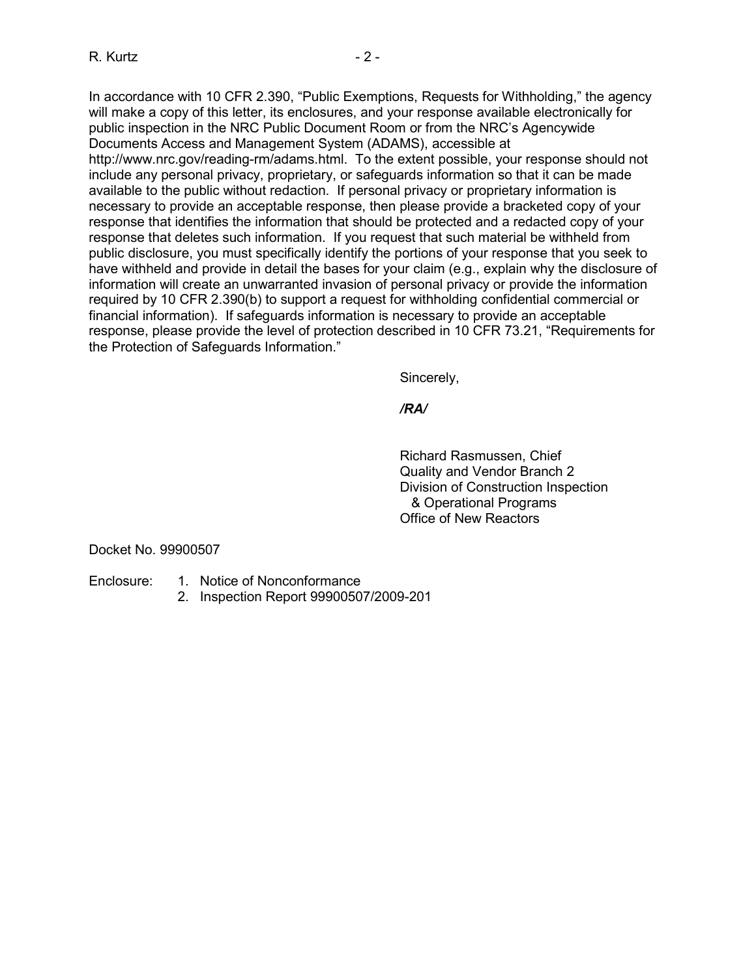In accordance with 10 CFR 2.390, "Public Exemptions, Requests for Withholding," the agency will make a copy of this letter, its enclosures, and your response available electronically for public inspection in the NRC Public Document Room or from the NRC's Agencywide Documents Access and Management System (ADAMS), accessible at http://www.nrc.gov/reading-rm/adams.html. To the extent possible, your response should not include any personal privacy, proprietary, or safeguards information so that it can be made available to the public without redaction. If personal privacy or proprietary information is necessary to provide an acceptable response, then please provide a bracketed copy of your response that identifies the information that should be protected and a redacted copy of your response that deletes such information. If you request that such material be withheld from public disclosure, you must specifically identify the portions of your response that you seek to have withheld and provide in detail the bases for your claim (e.g., explain why the disclosure of information will create an unwarranted invasion of personal privacy or provide the information required by 10 CFR 2.390(b) to support a request for withholding confidential commercial or financial information). If safeguards information is necessary to provide an acceptable response, please provide the level of protection described in 10 CFR 73.21, "Requirements for the Protection of Safeguards Information."

Sincerely,

*/RA/* 

Richard Rasmussen, Chief Quality and Vendor Branch 2 Division of Construction Inspection & Operational Programs Office of New Reactors

Docket No. 99900507

- Enclosure: 1. Notice of Nonconformance
	- 2. Inspection Report 99900507/2009-201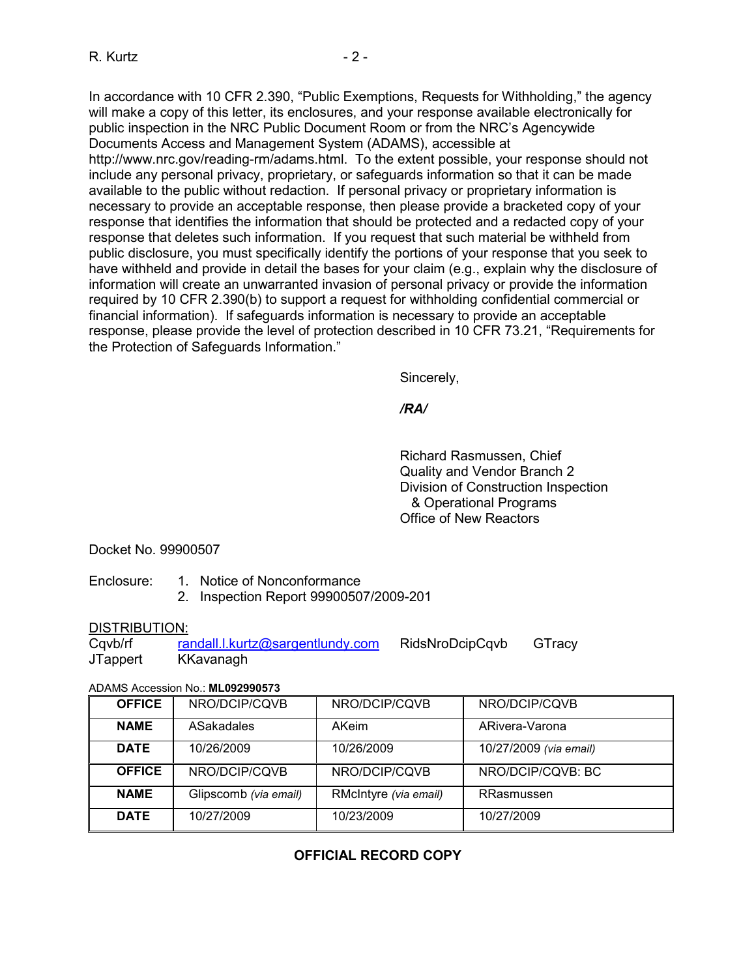In accordance with 10 CFR 2.390, "Public Exemptions, Requests for Withholding," the agency will make a copy of this letter, its enclosures, and your response available electronically for public inspection in the NRC Public Document Room or from the NRC's Agencywide Documents Access and Management System (ADAMS), accessible at http://www.nrc.gov/reading-rm/adams.html. To the extent possible, your response should not include any personal privacy, proprietary, or safeguards information so that it can be made available to the public without redaction. If personal privacy or proprietary information is necessary to provide an acceptable response, then please provide a bracketed copy of your response that identifies the information that should be protected and a redacted copy of your response that deletes such information. If you request that such material be withheld from public disclosure, you must specifically identify the portions of your response that you seek to have withheld and provide in detail the bases for your claim (e.g., explain why the disclosure of information will create an unwarranted invasion of personal privacy or provide the information required by 10 CFR 2.390(b) to support a request for withholding confidential commercial or financial information). If safeguards information is necessary to provide an acceptable response, please provide the level of protection described in 10 CFR 73.21, "Requirements for the Protection of Safeguards Information."

Sincerely,

### */RA/*

Richard Rasmussen, Chief Quality and Vendor Branch 2 Division of Construction Inspection & Operational Programs Office of New Reactors

Docket No. 99900507

- Enclosure: 1. Notice of Nonconformance
	- 2. Inspection Report 99900507/2009-201

## DISTRIBUTION:

Cqvb/rf randall.l.kurtz@sargentlundy.com RidsNroDcipCqvb GTracy JTappert KKavanagh

#### ADAMS Accession No.: **ML092990573**

| <b>OFFICE</b>                        | NRO/DCIP/CQVB | NRO/DCIP/CQVB         | NRO/DCIP/CQVB          |
|--------------------------------------|---------------|-----------------------|------------------------|
| <b>NAME</b>                          | ASakadales    | AKeim                 | ARivera-Varona         |
| <b>DATE</b>                          | 10/26/2009    | 10/26/2009            | 10/27/2009 (via email) |
| <b>OFFICE</b>                        | NRO/DCIP/CQVB | NRO/DCIP/CQVB         | NRO/DCIP/CQVB: BC      |
| <b>NAME</b><br>Glipscomb (via email) |               | RMcIntyre (via email) | RRasmussen             |
| <b>DATE</b><br>10/27/2009            |               | 10/23/2009            | 10/27/2009             |

# **OFFICIAL RECORD COPY**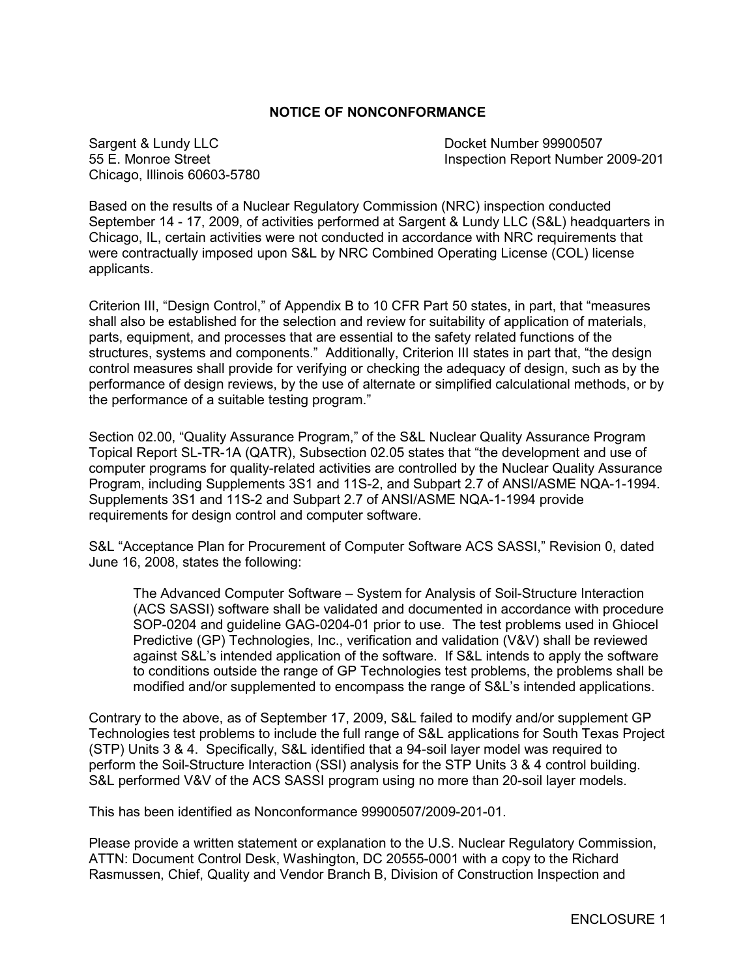#### **NOTICE OF NONCONFORMANCE**

Sargent & Lundy LLC **Docket Number 99900507** Chicago, Illinois 60603-5780

55 E. Monroe Street Inspection Report Number 2009-201

Based on the results of a Nuclear Regulatory Commission (NRC) inspection conducted September 14 - 17, 2009, of activities performed at Sargent & Lundy LLC (S&L) headquarters in Chicago, IL, certain activities were not conducted in accordance with NRC requirements that were contractually imposed upon S&L by NRC Combined Operating License (COL) license applicants.

Criterion III, "Design Control," of Appendix B to 10 CFR Part 50 states, in part, that "measures shall also be established for the selection and review for suitability of application of materials, parts, equipment, and processes that are essential to the safety related functions of the structures, systems and components." Additionally, Criterion III states in part that, "the design control measures shall provide for verifying or checking the adequacy of design, such as by the performance of design reviews, by the use of alternate or simplified calculational methods, or by the performance of a suitable testing program."

Section 02.00, "Quality Assurance Program," of the S&L Nuclear Quality Assurance Program Topical Report SL-TR-1A (QATR), Subsection 02.05 states that "the development and use of computer programs for quality-related activities are controlled by the Nuclear Quality Assurance Program, including Supplements 3S1 and 11S-2, and Subpart 2.7 of ANSI/ASME NQA-1-1994. Supplements 3S1 and 11S-2 and Subpart 2.7 of ANSI/ASME NQA-1-1994 provide requirements for design control and computer software.

S&L "Acceptance Plan for Procurement of Computer Software ACS SASSI," Revision 0, dated June 16, 2008, states the following:

The Advanced Computer Software – System for Analysis of Soil-Structure Interaction (ACS SASSI) software shall be validated and documented in accordance with procedure SOP-0204 and guideline GAG-0204-01 prior to use. The test problems used in Ghiocel Predictive (GP) Technologies, Inc., verification and validation (V&V) shall be reviewed against S&L's intended application of the software. If S&L intends to apply the software to conditions outside the range of GP Technologies test problems, the problems shall be modified and/or supplemented to encompass the range of S&L's intended applications.

Contrary to the above, as of September 17, 2009, S&L failed to modify and/or supplement GP Technologies test problems to include the full range of S&L applications for South Texas Project (STP) Units 3 & 4. Specifically, S&L identified that a 94-soil layer model was required to perform the Soil-Structure Interaction (SSI) analysis for the STP Units 3 & 4 control building. S&L performed V&V of the ACS SASSI program using no more than 20-soil layer models.

This has been identified as Nonconformance 99900507/2009-201-01.

Please provide a written statement or explanation to the U.S. Nuclear Regulatory Commission, ATTN: Document Control Desk, Washington, DC 20555-0001 with a copy to the Richard Rasmussen, Chief, Quality and Vendor Branch B, Division of Construction Inspection and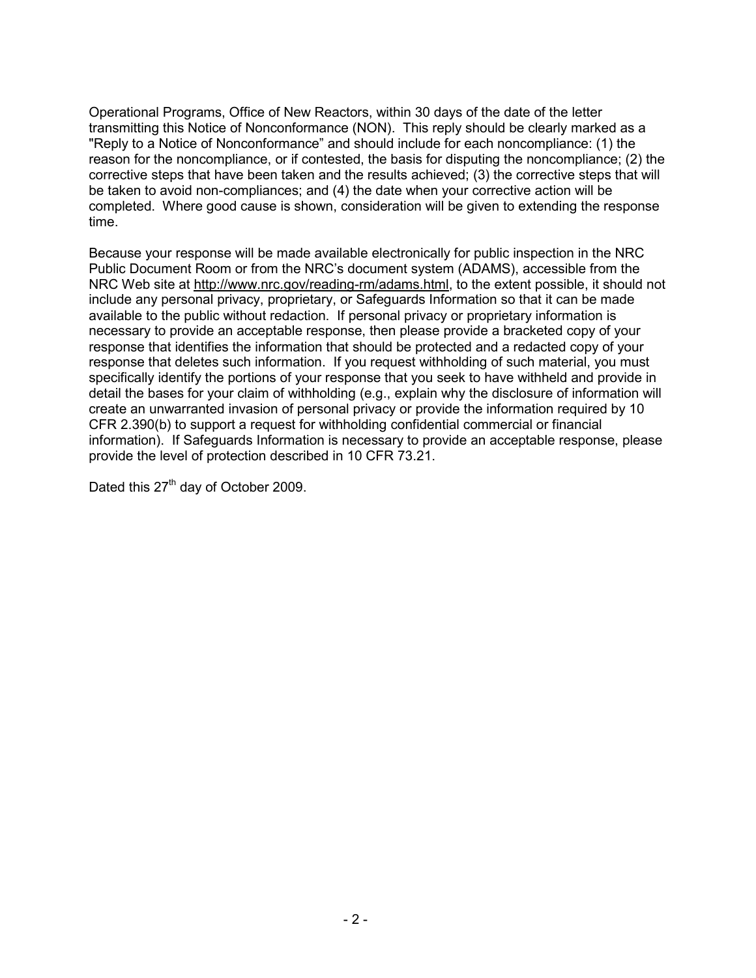Operational Programs, Office of New Reactors, within 30 days of the date of the letter transmitting this Notice of Nonconformance (NON). This reply should be clearly marked as a "Reply to a Notice of Nonconformance" and should include for each noncompliance: (1) the reason for the noncompliance, or if contested, the basis for disputing the noncompliance; (2) the corrective steps that have been taken and the results achieved; (3) the corrective steps that will be taken to avoid non-compliances; and (4) the date when your corrective action will be completed. Where good cause is shown, consideration will be given to extending the response time.

Because your response will be made available electronically for public inspection in the NRC Public Document Room or from the NRC's document system (ADAMS), accessible from the NRC Web site at http://www.nrc.gov/reading-rm/adams.html, to the extent possible, it should not include any personal privacy, proprietary, or Safeguards Information so that it can be made available to the public without redaction. If personal privacy or proprietary information is necessary to provide an acceptable response, then please provide a bracketed copy of your response that identifies the information that should be protected and a redacted copy of your response that deletes such information. If you request withholding of such material, you must specifically identify the portions of your response that you seek to have withheld and provide in detail the bases for your claim of withholding (e.g., explain why the disclosure of information will create an unwarranted invasion of personal privacy or provide the information required by 10 CFR 2.390(b) to support a request for withholding confidential commercial or financial information). If Safeguards Information is necessary to provide an acceptable response, please provide the level of protection described in 10 CFR 73.21.

Dated this 27<sup>th</sup> day of October 2009.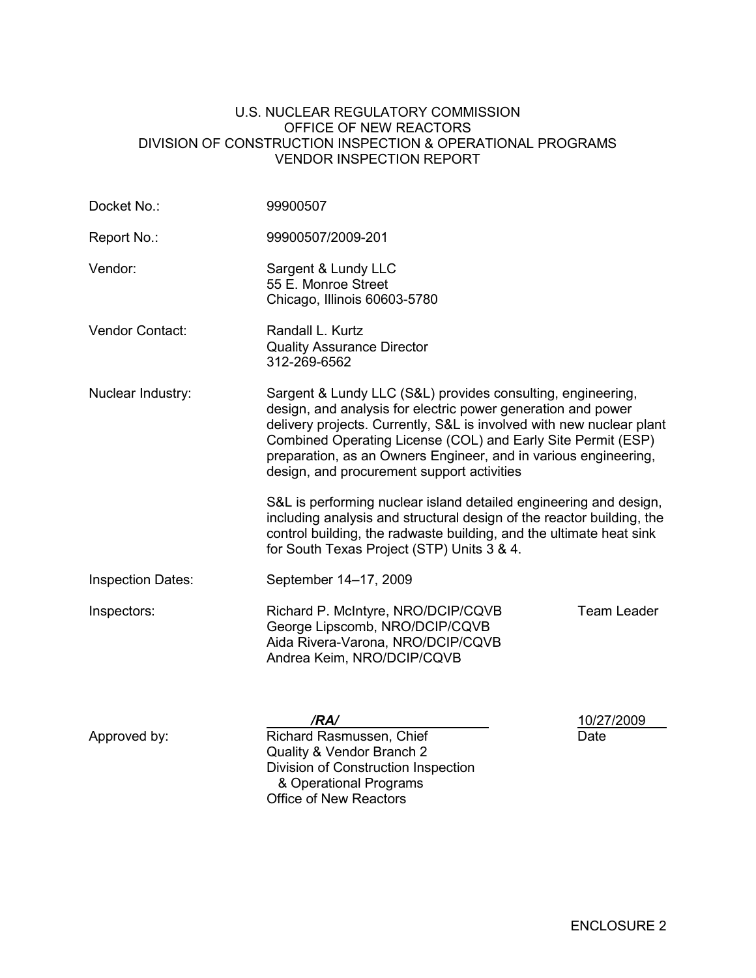#### U.S. NUCLEAR REGULATORY COMMISSION OFFICE OF NEW REACTORS DIVISION OF CONSTRUCTION INSPECTION & OPERATIONAL PROGRAMS VENDOR INSPECTION REPORT

| Docket No.:                                                                                                                                                                                                                                                                                                                                                                                               | 99900507                                                                                                                                                                                                                                                        |                    |  |  |
|-----------------------------------------------------------------------------------------------------------------------------------------------------------------------------------------------------------------------------------------------------------------------------------------------------------------------------------------------------------------------------------------------------------|-----------------------------------------------------------------------------------------------------------------------------------------------------------------------------------------------------------------------------------------------------------------|--------------------|--|--|
| Report No.:                                                                                                                                                                                                                                                                                                                                                                                               | 99900507/2009-201                                                                                                                                                                                                                                               |                    |  |  |
| Vendor:                                                                                                                                                                                                                                                                                                                                                                                                   | Sargent & Lundy LLC<br>55 E. Monroe Street<br>Chicago, Illinois 60603-5780                                                                                                                                                                                      |                    |  |  |
| Vendor Contact:                                                                                                                                                                                                                                                                                                                                                                                           | Randall L. Kurtz<br><b>Quality Assurance Director</b><br>312-269-6562                                                                                                                                                                                           |                    |  |  |
| Sargent & Lundy LLC (S&L) provides consulting, engineering,<br>Nuclear Industry:<br>design, and analysis for electric power generation and power<br>delivery projects. Currently, S&L is involved with new nuclear plant<br>Combined Operating License (COL) and Early Site Permit (ESP)<br>preparation, as an Owners Engineer, and in various engineering,<br>design, and procurement support activities |                                                                                                                                                                                                                                                                 |                    |  |  |
|                                                                                                                                                                                                                                                                                                                                                                                                           | S&L is performing nuclear island detailed engineering and design,<br>including analysis and structural design of the reactor building, the<br>control building, the radwaste building, and the ultimate heat sink<br>for South Texas Project (STP) Units 3 & 4. |                    |  |  |
| <b>Inspection Dates:</b>                                                                                                                                                                                                                                                                                                                                                                                  | September 14-17, 2009                                                                                                                                                                                                                                           |                    |  |  |
| Inspectors:                                                                                                                                                                                                                                                                                                                                                                                               | Richard P. McIntyre, NRO/DCIP/CQVB<br>George Lipscomb, NRO/DCIP/CQVB<br>Aida Rivera-Varona, NRO/DCIP/CQVB<br>Andrea Keim, NRO/DCIP/CQVB                                                                                                                         | Team Leader        |  |  |
| Approved by:                                                                                                                                                                                                                                                                                                                                                                                              | /RA/<br>Richard Rasmussen, Chief<br>Quality & Vendor Branch 2<br>Division of Construction Inspection<br>& Operational Programs<br>Office of New Reactors                                                                                                        | 10/27/2009<br>Date |  |  |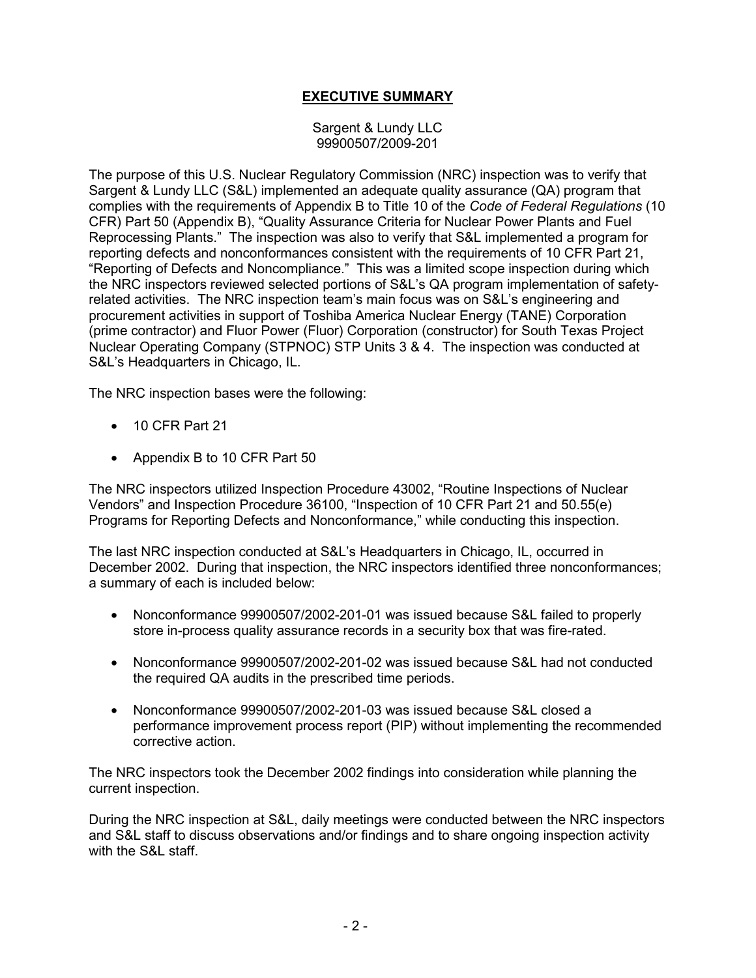## **EXECUTIVE SUMMARY**

#### Sargent & Lundy LLC 99900507/2009-201

The purpose of this U.S. Nuclear Regulatory Commission (NRC) inspection was to verify that Sargent & Lundy LLC (S&L) implemented an adequate quality assurance (QA) program that complies with the requirements of Appendix B to Title 10 of the *Code of Federal Regulations* (10 CFR) Part 50 (Appendix B), "Quality Assurance Criteria for Nuclear Power Plants and Fuel Reprocessing Plants." The inspection was also to verify that S&L implemented a program for reporting defects and nonconformances consistent with the requirements of 10 CFR Part 21, "Reporting of Defects and Noncompliance." This was a limited scope inspection during which the NRC inspectors reviewed selected portions of S&L's QA program implementation of safetyrelated activities. The NRC inspection team's main focus was on S&L's engineering and procurement activities in support of Toshiba America Nuclear Energy (TANE) Corporation (prime contractor) and Fluor Power (Fluor) Corporation (constructor) for South Texas Project Nuclear Operating Company (STPNOC) STP Units 3 & 4. The inspection was conducted at S&L's Headquarters in Chicago, IL.

The NRC inspection bases were the following:

- 10 CFR Part 21
- Appendix B to 10 CFR Part 50

The NRC inspectors utilized Inspection Procedure 43002, "Routine Inspections of Nuclear Vendors" and Inspection Procedure 36100, "Inspection of 10 CFR Part 21 and 50.55(e) Programs for Reporting Defects and Nonconformance," while conducting this inspection.

The last NRC inspection conducted at S&L's Headquarters in Chicago, IL, occurred in December 2002. During that inspection, the NRC inspectors identified three nonconformances; a summary of each is included below:

- Nonconformance 99900507/2002-201-01 was issued because S&L failed to properly store in-process quality assurance records in a security box that was fire-rated.
- Nonconformance 99900507/2002-201-02 was issued because S&L had not conducted the required QA audits in the prescribed time periods.
- Nonconformance 99900507/2002-201-03 was issued because S&L closed a performance improvement process report (PIP) without implementing the recommended corrective action.

The NRC inspectors took the December 2002 findings into consideration while planning the current inspection.

During the NRC inspection at S&L, daily meetings were conducted between the NRC inspectors and S&L staff to discuss observations and/or findings and to share ongoing inspection activity with the S&L staff.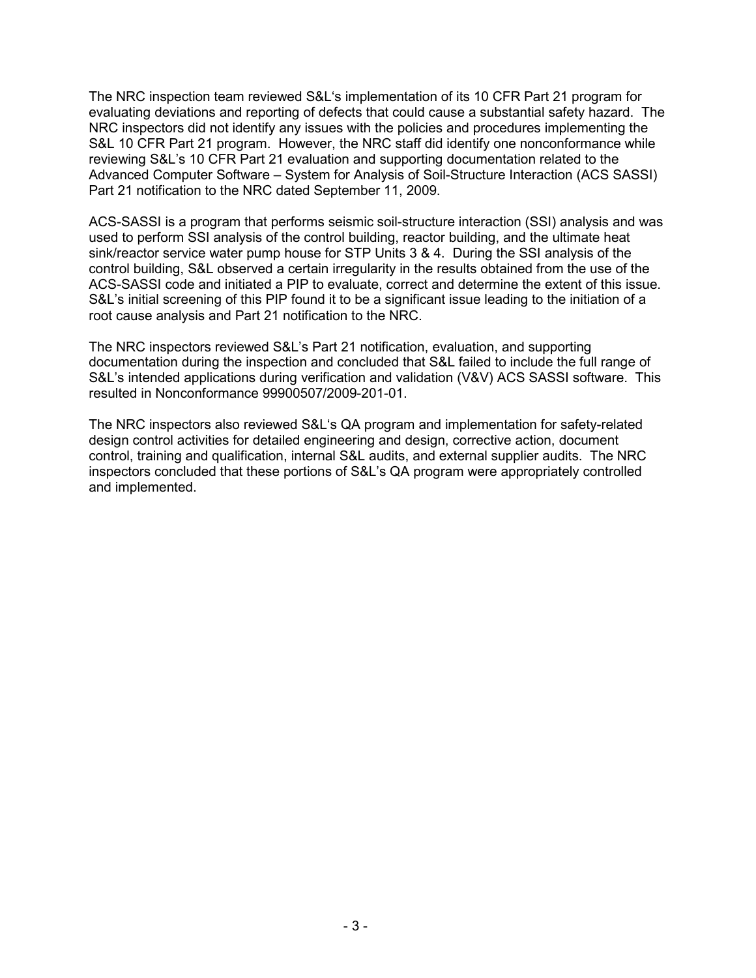The NRC inspection team reviewed S&L's implementation of its 10 CFR Part 21 program for evaluating deviations and reporting of defects that could cause a substantial safety hazard. The NRC inspectors did not identify any issues with the policies and procedures implementing the S&L 10 CFR Part 21 program. However, the NRC staff did identify one nonconformance while reviewing S&L's 10 CFR Part 21 evaluation and supporting documentation related to the Advanced Computer Software – System for Analysis of Soil-Structure Interaction (ACS SASSI) Part 21 notification to the NRC dated September 11, 2009.

ACS-SASSI is a program that performs seismic soil-structure interaction (SSI) analysis and was used to perform SSI analysis of the control building, reactor building, and the ultimate heat sink/reactor service water pump house for STP Units 3 & 4. During the SSI analysis of the control building, S&L observed a certain irregularity in the results obtained from the use of the ACS-SASSI code and initiated a PIP to evaluate, correct and determine the extent of this issue. S&L's initial screening of this PIP found it to be a significant issue leading to the initiation of a root cause analysis and Part 21 notification to the NRC.

The NRC inspectors reviewed S&L's Part 21 notification, evaluation, and supporting documentation during the inspection and concluded that S&L failed to include the full range of S&L's intended applications during verification and validation (V&V) ACS SASSI software. This resulted in Nonconformance 99900507/2009-201-01.

The NRC inspectors also reviewed S&L's QA program and implementation for safety-related design control activities for detailed engineering and design, corrective action, document control, training and qualification, internal S&L audits, and external supplier audits. The NRC inspectors concluded that these portions of S&L's QA program were appropriately controlled and implemented.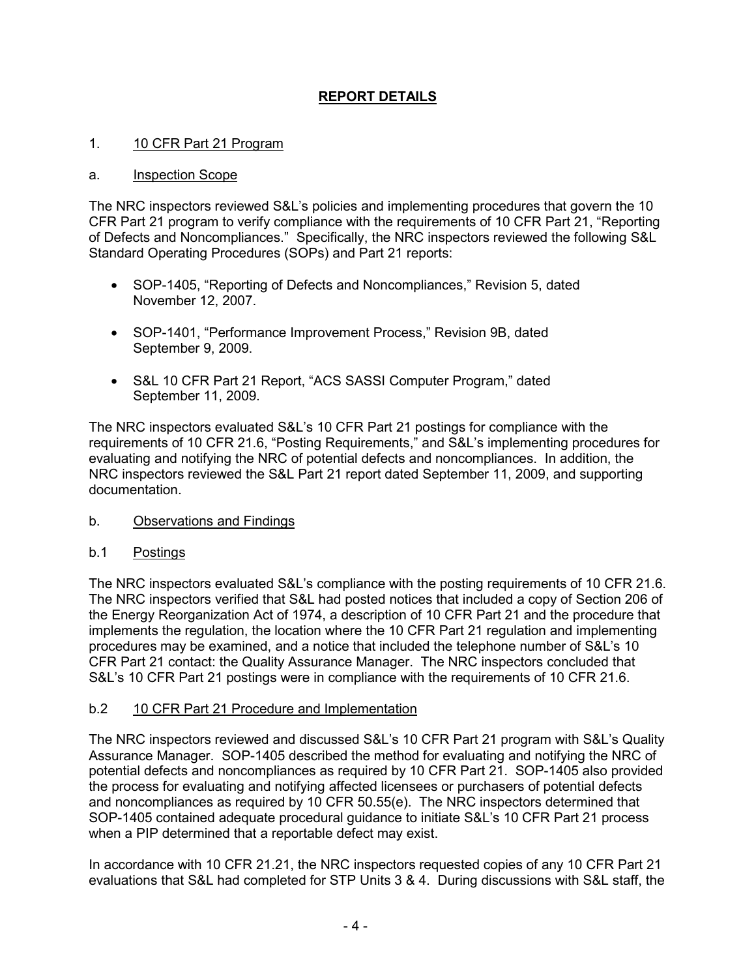# **REPORT DETAILS**

### 1. 10 CFR Part 21 Program

#### a. Inspection Scope

The NRC inspectors reviewed S&L's policies and implementing procedures that govern the 10 CFR Part 21 program to verify compliance with the requirements of 10 CFR Part 21, "Reporting of Defects and Noncompliances." Specifically, the NRC inspectors reviewed the following S&L Standard Operating Procedures (SOPs) and Part 21 reports:

- SOP-1405, "Reporting of Defects and Noncompliances," Revision 5, dated November 12, 2007.
- SOP-1401, "Performance Improvement Process," Revision 9B, dated September 9, 2009.
- S&L 10 CFR Part 21 Report, "ACS SASSI Computer Program," dated September 11, 2009.

The NRC inspectors evaluated S&L's 10 CFR Part 21 postings for compliance with the requirements of 10 CFR 21.6, "Posting Requirements," and S&L's implementing procedures for evaluating and notifying the NRC of potential defects and noncompliances. In addition, the NRC inspectors reviewed the S&L Part 21 report dated September 11, 2009, and supporting documentation.

#### b. Observations and Findings

#### b.1 Postings

The NRC inspectors evaluated S&L's compliance with the posting requirements of 10 CFR 21.6. The NRC inspectors verified that S&L had posted notices that included a copy of Section 206 of the Energy Reorganization Act of 1974, a description of 10 CFR Part 21 and the procedure that implements the regulation, the location where the 10 CFR Part 21 regulation and implementing procedures may be examined, and a notice that included the telephone number of S&L's 10 CFR Part 21 contact: the Quality Assurance Manager. The NRC inspectors concluded that S&L's 10 CFR Part 21 postings were in compliance with the requirements of 10 CFR 21.6.

#### b.2 10 CFR Part 21 Procedure and Implementation

The NRC inspectors reviewed and discussed S&L's 10 CFR Part 21 program with S&L's Quality Assurance Manager. SOP-1405 described the method for evaluating and notifying the NRC of potential defects and noncompliances as required by 10 CFR Part 21. SOP-1405 also provided the process for evaluating and notifying affected licensees or purchasers of potential defects and noncompliances as required by 10 CFR 50.55(e). The NRC inspectors determined that SOP-1405 contained adequate procedural guidance to initiate S&L's 10 CFR Part 21 process when a PIP determined that a reportable defect may exist.

In accordance with 10 CFR 21.21, the NRC inspectors requested copies of any 10 CFR Part 21 evaluations that S&L had completed for STP Units 3 & 4. During discussions with S&L staff, the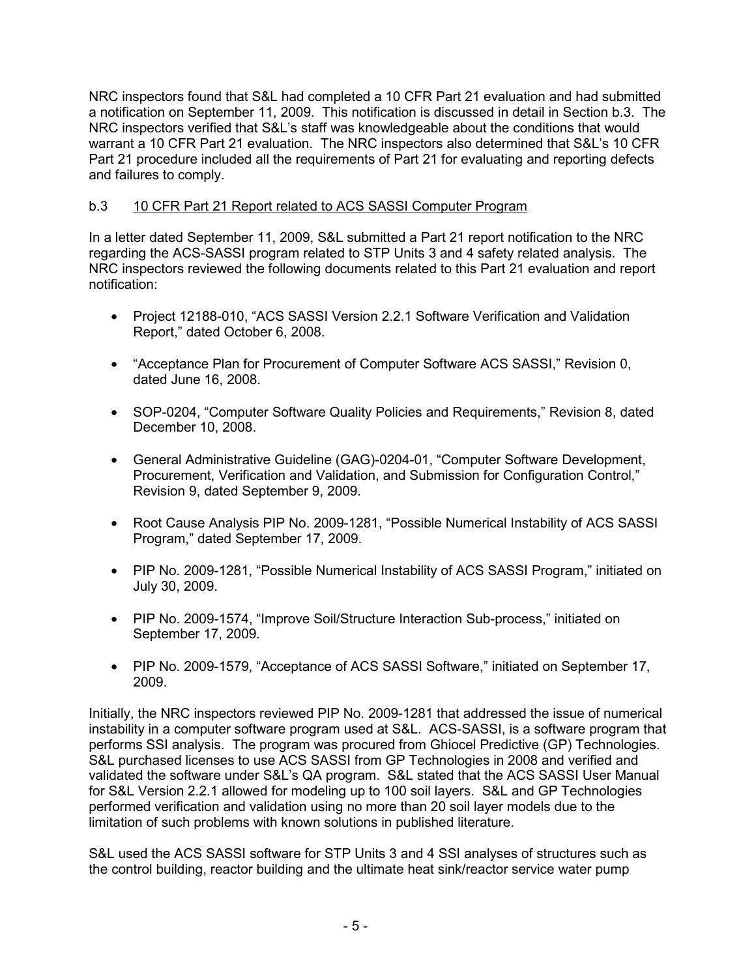NRC inspectors found that S&L had completed a 10 CFR Part 21 evaluation and had submitted a notification on September 11, 2009. This notification is discussed in detail in Section b.3. The NRC inspectors verified that S&L's staff was knowledgeable about the conditions that would warrant a 10 CFR Part 21 evaluation. The NRC inspectors also determined that S&L's 10 CFR Part 21 procedure included all the requirements of Part 21 for evaluating and reporting defects and failures to comply.

## b.3 10 CFR Part 21 Report related to ACS SASSI Computer Program

In a letter dated September 11, 2009, S&L submitted a Part 21 report notification to the NRC regarding the ACS-SASSI program related to STP Units 3 and 4 safety related analysis. The NRC inspectors reviewed the following documents related to this Part 21 evaluation and report notification:

- Project 12188-010, "ACS SASSI Version 2.2.1 Software Verification and Validation Report," dated October 6, 2008.
- "Acceptance Plan for Procurement of Computer Software ACS SASSI," Revision 0, dated June 16, 2008.
- SOP-0204, "Computer Software Quality Policies and Requirements," Revision 8, dated December 10, 2008.
- General Administrative Guideline (GAG)-0204-01, "Computer Software Development, Procurement, Verification and Validation, and Submission for Configuration Control," Revision 9, dated September 9, 2009.
- Root Cause Analysis PIP No. 2009-1281, "Possible Numerical Instability of ACS SASSI Program," dated September 17, 2009.
- PIP No. 2009-1281, "Possible Numerical Instability of ACS SASSI Program," initiated on July 30, 2009.
- PIP No. 2009-1574, "Improve Soil/Structure Interaction Sub-process," initiated on September 17, 2009.
- PIP No. 2009-1579, "Acceptance of ACS SASSI Software," initiated on September 17, 2009.

Initially, the NRC inspectors reviewed PIP No. 2009-1281 that addressed the issue of numerical instability in a computer software program used at S&L. ACS-SASSI, is a software program that performs SSI analysis. The program was procured from Ghiocel Predictive (GP) Technologies. S&L purchased licenses to use ACS SASSI from GP Technologies in 2008 and verified and validated the software under S&L's QA program. S&L stated that the ACS SASSI User Manual for S&L Version 2.2.1 allowed for modeling up to 100 soil layers. S&L and GP Technologies performed verification and validation using no more than 20 soil layer models due to the limitation of such problems with known solutions in published literature.

S&L used the ACS SASSI software for STP Units 3 and 4 SSI analyses of structures such as the control building, reactor building and the ultimate heat sink/reactor service water pump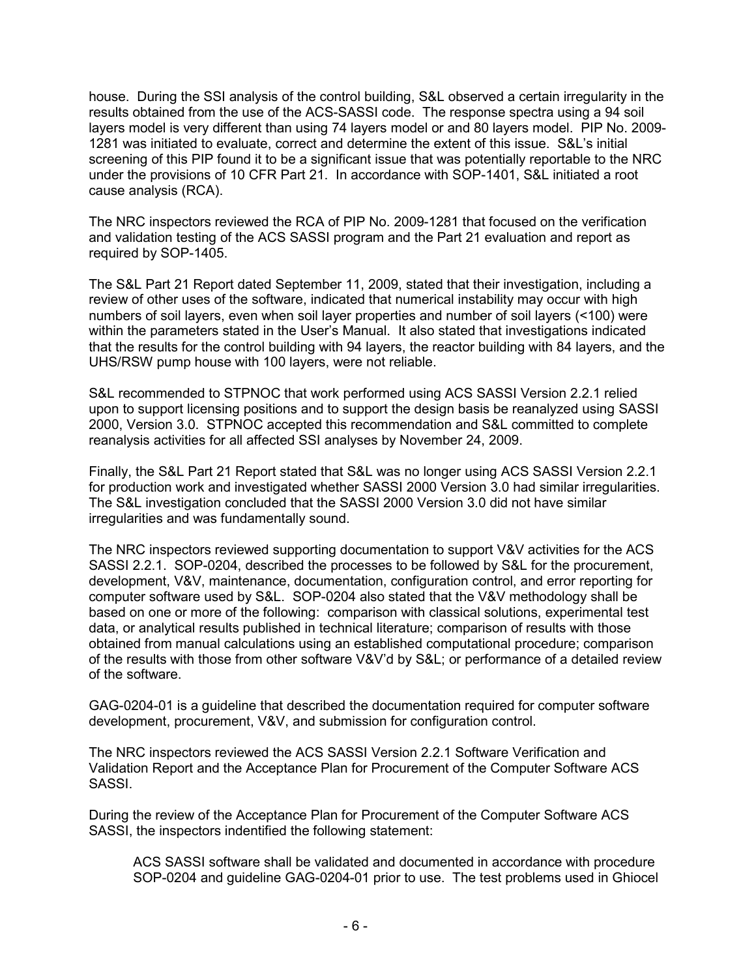house. During the SSI analysis of the control building, S&L observed a certain irregularity in the results obtained from the use of the ACS-SASSI code. The response spectra using a 94 soil layers model is very different than using 74 layers model or and 80 layers model. PIP No. 2009- 1281 was initiated to evaluate, correct and determine the extent of this issue. S&L's initial screening of this PIP found it to be a significant issue that was potentially reportable to the NRC under the provisions of 10 CFR Part 21. In accordance with SOP-1401, S&L initiated a root cause analysis (RCA).

The NRC inspectors reviewed the RCA of PIP No. 2009-1281 that focused on the verification and validation testing of the ACS SASSI program and the Part 21 evaluation and report as required by SOP-1405.

The S&L Part 21 Report dated September 11, 2009, stated that their investigation, including a review of other uses of the software, indicated that numerical instability may occur with high numbers of soil layers, even when soil layer properties and number of soil layers (<100) were within the parameters stated in the User's Manual. It also stated that investigations indicated that the results for the control building with 94 layers, the reactor building with 84 layers, and the UHS/RSW pump house with 100 layers, were not reliable.

S&L recommended to STPNOC that work performed using ACS SASSI Version 2.2.1 relied upon to support licensing positions and to support the design basis be reanalyzed using SASSI 2000, Version 3.0. STPNOC accepted this recommendation and S&L committed to complete reanalysis activities for all affected SSI analyses by November 24, 2009.

Finally, the S&L Part 21 Report stated that S&L was no longer using ACS SASSI Version 2.2.1 for production work and investigated whether SASSI 2000 Version 3.0 had similar irregularities. The S&L investigation concluded that the SASSI 2000 Version 3.0 did not have similar irregularities and was fundamentally sound.

The NRC inspectors reviewed supporting documentation to support V&V activities for the ACS SASSI 2.2.1. SOP-0204, described the processes to be followed by S&L for the procurement, development, V&V, maintenance, documentation, configuration control, and error reporting for computer software used by S&L. SOP-0204 also stated that the V&V methodology shall be based on one or more of the following: comparison with classical solutions, experimental test data, or analytical results published in technical literature; comparison of results with those obtained from manual calculations using an established computational procedure; comparison of the results with those from other software V&V'd by S&L; or performance of a detailed review of the software.

GAG-0204-01 is a guideline that described the documentation required for computer software development, procurement, V&V, and submission for configuration control.

The NRC inspectors reviewed the ACS SASSI Version 2.2.1 Software Verification and Validation Report and the Acceptance Plan for Procurement of the Computer Software ACS SASSI.

During the review of the Acceptance Plan for Procurement of the Computer Software ACS SASSI, the inspectors indentified the following statement:

ACS SASSI software shall be validated and documented in accordance with procedure SOP-0204 and guideline GAG-0204-01 prior to use. The test problems used in Ghiocel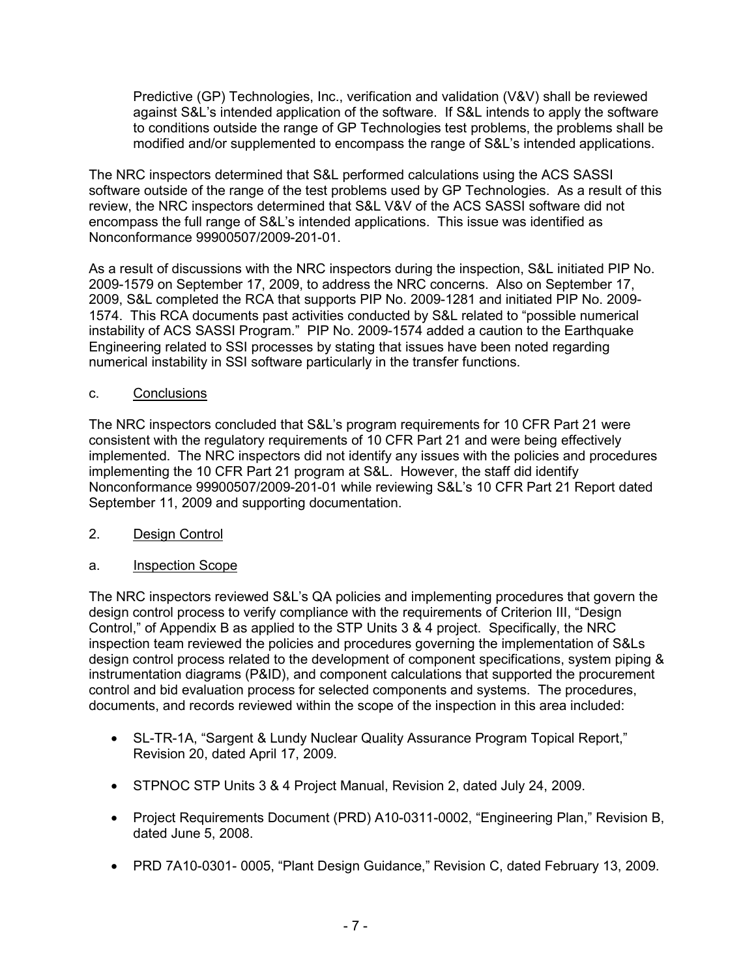Predictive (GP) Technologies, Inc., verification and validation (V&V) shall be reviewed against S&L's intended application of the software. If S&L intends to apply the software to conditions outside the range of GP Technologies test problems, the problems shall be modified and/or supplemented to encompass the range of S&L's intended applications.

The NRC inspectors determined that S&L performed calculations using the ACS SASSI software outside of the range of the test problems used by GP Technologies. As a result of this review, the NRC inspectors determined that S&L V&V of the ACS SASSI software did not encompass the full range of S&L's intended applications. This issue was identified as Nonconformance 99900507/2009-201-01.

As a result of discussions with the NRC inspectors during the inspection, S&L initiated PIP No. 2009-1579 on September 17, 2009, to address the NRC concerns. Also on September 17, 2009, S&L completed the RCA that supports PIP No. 2009-1281 and initiated PIP No. 2009- 1574. This RCA documents past activities conducted by S&L related to "possible numerical instability of ACS SASSI Program." PIP No. 2009-1574 added a caution to the Earthquake Engineering related to SSI processes by stating that issues have been noted regarding numerical instability in SSI software particularly in the transfer functions.

### c. Conclusions

The NRC inspectors concluded that S&L's program requirements for 10 CFR Part 21 were consistent with the regulatory requirements of 10 CFR Part 21 and were being effectively implemented. The NRC inspectors did not identify any issues with the policies and procedures implementing the 10 CFR Part 21 program at S&L. However, the staff did identify Nonconformance 99900507/2009-201-01 while reviewing S&L's 10 CFR Part 21 Report dated September 11, 2009 and supporting documentation.

## 2. Design Control

#### a. Inspection Scope

The NRC inspectors reviewed S&L's QA policies and implementing procedures that govern the design control process to verify compliance with the requirements of Criterion III, "Design Control," of Appendix B as applied to the STP Units 3 & 4 project. Specifically, the NRC inspection team reviewed the policies and procedures governing the implementation of S&Ls design control process related to the development of component specifications, system piping & instrumentation diagrams (P&ID), and component calculations that supported the procurement control and bid evaluation process for selected components and systems. The procedures, documents, and records reviewed within the scope of the inspection in this area included:

- SL-TR-1A, "Sargent & Lundy Nuclear Quality Assurance Program Topical Report," Revision 20, dated April 17, 2009.
- STPNOC STP Units 3 & 4 Project Manual, Revision 2, dated July 24, 2009.
- Project Requirements Document (PRD) A10-0311-0002, "Engineering Plan," Revision B, dated June 5, 2008.
- PRD 7A10-0301- 0005, "Plant Design Guidance," Revision C, dated February 13, 2009.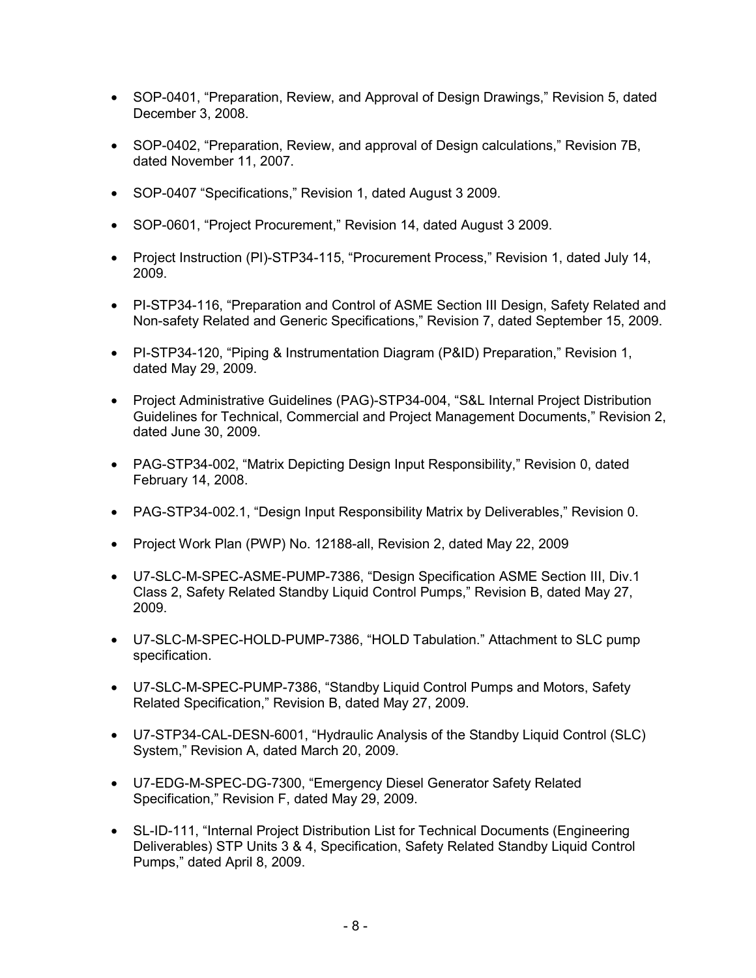- SOP-0401, "Preparation, Review, and Approval of Design Drawings," Revision 5, dated December 3, 2008.
- SOP-0402, "Preparation, Review, and approval of Design calculations," Revision 7B, dated November 11, 2007.
- SOP-0407 "Specifications," Revision 1, dated August 3 2009.
- SOP-0601, "Project Procurement," Revision 14, dated August 3 2009.
- Project Instruction (PI)-STP34-115, "Procurement Process," Revision 1, dated July 14, 2009.
- PI-STP34-116, "Preparation and Control of ASME Section III Design, Safety Related and Non-safety Related and Generic Specifications," Revision 7, dated September 15, 2009.
- PI-STP34-120, "Piping & Instrumentation Diagram (P&ID) Preparation," Revision 1, dated May 29, 2009.
- Project Administrative Guidelines (PAG)-STP34-004, "S&L Internal Project Distribution Guidelines for Technical, Commercial and Project Management Documents," Revision 2, dated June 30, 2009.
- PAG-STP34-002, "Matrix Depicting Design Input Responsibility," Revision 0, dated February 14, 2008.
- PAG-STP34-002.1, "Design Input Responsibility Matrix by Deliverables," Revision 0.
- Project Work Plan (PWP) No. 12188-all, Revision 2, dated May 22, 2009
- U7-SLC-M-SPEC-ASME-PUMP-7386, "Design Specification ASME Section III, Div.1 Class 2, Safety Related Standby Liquid Control Pumps," Revision B, dated May 27, 2009.
- U7-SLC-M-SPEC-HOLD-PUMP-7386, "HOLD Tabulation." Attachment to SLC pump specification.
- U7-SLC-M-SPEC-PUMP-7386, "Standby Liquid Control Pumps and Motors, Safety Related Specification," Revision B, dated May 27, 2009.
- U7-STP34-CAL-DESN-6001, "Hydraulic Analysis of the Standby Liquid Control (SLC) System," Revision A, dated March 20, 2009.
- U7-EDG-M-SPEC-DG-7300, "Emergency Diesel Generator Safety Related Specification," Revision F, dated May 29, 2009.
- SL-ID-111, "Internal Project Distribution List for Technical Documents (Engineering Deliverables) STP Units 3 & 4, Specification, Safety Related Standby Liquid Control Pumps," dated April 8, 2009.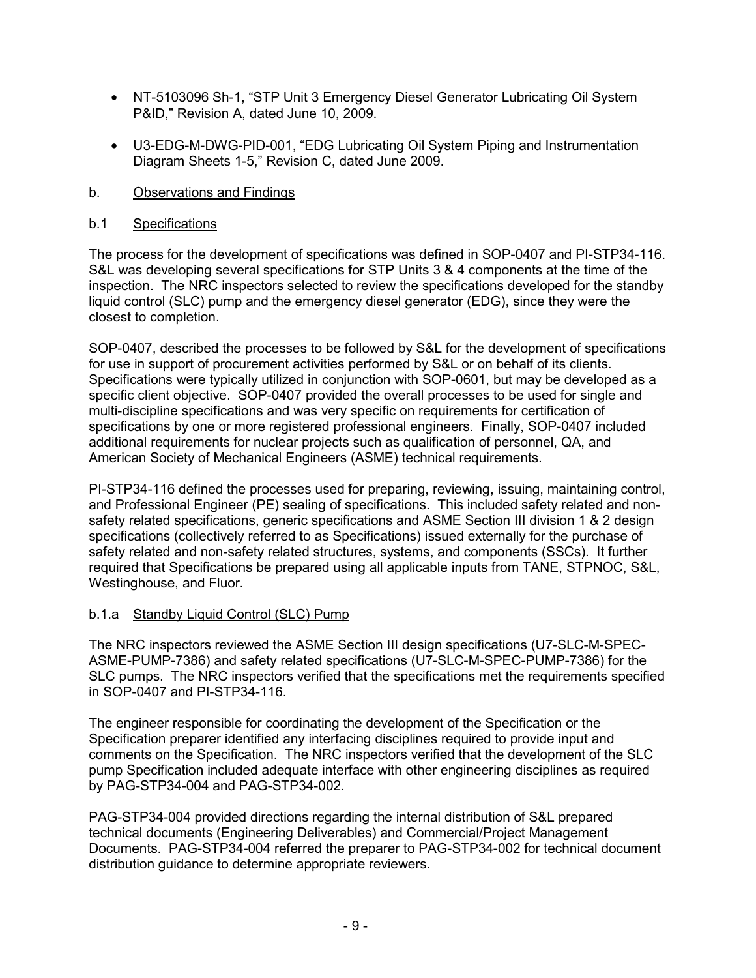- NT-5103096 Sh-1, "STP Unit 3 Emergency Diesel Generator Lubricating Oil System P&ID," Revision A, dated June 10, 2009.
- U3-EDG-M-DWG-PID-001, "EDG Lubricating Oil System Piping and Instrumentation Diagram Sheets 1-5," Revision C, dated June 2009.
- b. Observations and Findings

### b.1 Specifications

The process for the development of specifications was defined in SOP-0407 and PI-STP34-116. S&L was developing several specifications for STP Units 3 & 4 components at the time of the inspection. The NRC inspectors selected to review the specifications developed for the standby liquid control (SLC) pump and the emergency diesel generator (EDG), since they were the closest to completion.

SOP-0407, described the processes to be followed by S&L for the development of specifications for use in support of procurement activities performed by S&L or on behalf of its clients. Specifications were typically utilized in conjunction with SOP-0601, but may be developed as a specific client objective. SOP-0407 provided the overall processes to be used for single and multi-discipline specifications and was very specific on requirements for certification of specifications by one or more registered professional engineers. Finally, SOP-0407 included additional requirements for nuclear projects such as qualification of personnel, QA, and American Society of Mechanical Engineers (ASME) technical requirements.

PI-STP34-116 defined the processes used for preparing, reviewing, issuing, maintaining control, and Professional Engineer (PE) sealing of specifications. This included safety related and nonsafety related specifications, generic specifications and ASME Section III division 1 & 2 design specifications (collectively referred to as Specifications) issued externally for the purchase of safety related and non-safety related structures, systems, and components (SSCs). It further required that Specifications be prepared using all applicable inputs from TANE, STPNOC, S&L, Westinghouse, and Fluor.

#### b.1.a Standby Liquid Control (SLC) Pump

The NRC inspectors reviewed the ASME Section III design specifications (U7-SLC-M-SPEC-ASME-PUMP-7386) and safety related specifications (U7-SLC-M-SPEC-PUMP-7386) for the SLC pumps. The NRC inspectors verified that the specifications met the requirements specified in SOP-0407 and PI-STP34-116.

The engineer responsible for coordinating the development of the Specification or the Specification preparer identified any interfacing disciplines required to provide input and comments on the Specification. The NRC inspectors verified that the development of the SLC pump Specification included adequate interface with other engineering disciplines as required by PAG-STP34-004 and PAG-STP34-002.

PAG-STP34-004 provided directions regarding the internal distribution of S&L prepared technical documents (Engineering Deliverables) and Commercial/Project Management Documents. PAG-STP34-004 referred the preparer to PAG-STP34-002 for technical document distribution guidance to determine appropriate reviewers.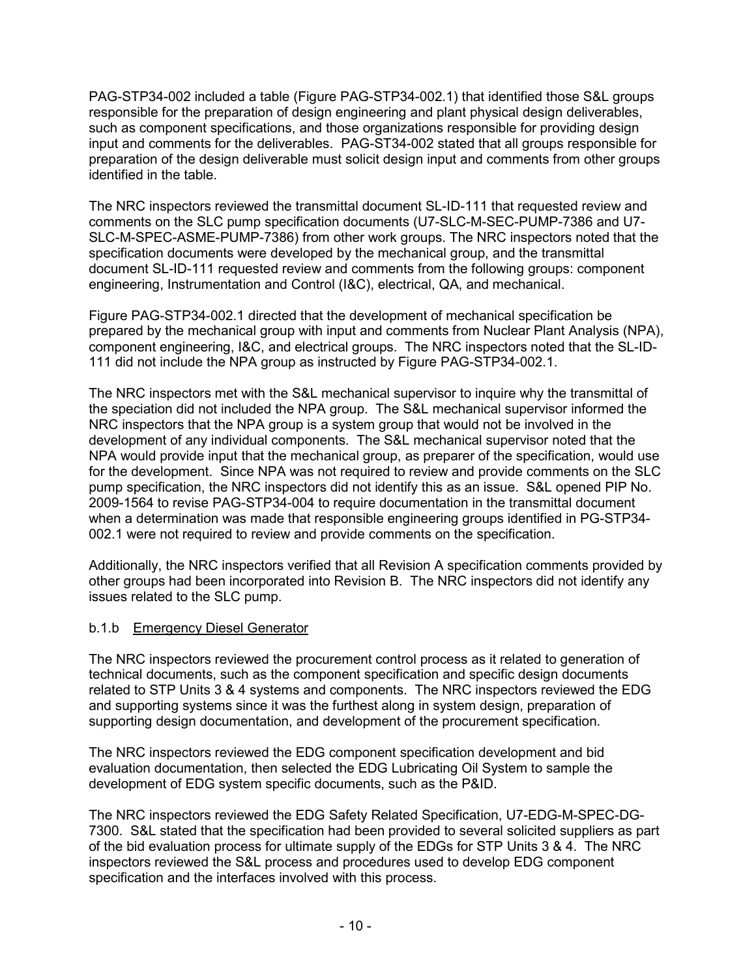PAG-STP34-002 included a table (Figure PAG-STP34-002.1) that identified those S&L groups responsible for the preparation of design engineering and plant physical design deliverables, such as component specifications, and those organizations responsible for providing design input and comments for the deliverables. PAG-ST34-002 stated that all groups responsible for preparation of the design deliverable must solicit design input and comments from other groups identified in the table.

The NRC inspectors reviewed the transmittal document SL-ID-111 that requested review and comments on the SLC pump specification documents (U7-SLC-M-SEC-PUMP-7386 and U7- SLC-M-SPEC-ASME-PUMP-7386) from other work groups. The NRC inspectors noted that the specification documents were developed by the mechanical group, and the transmittal document SL-ID-111 requested review and comments from the following groups: component engineering, Instrumentation and Control (I&C), electrical, QA, and mechanical.

Figure PAG-STP34-002.1 directed that the development of mechanical specification be prepared by the mechanical group with input and comments from Nuclear Plant Analysis (NPA), component engineering, I&C, and electrical groups. The NRC inspectors noted that the SL-ID-111 did not include the NPA group as instructed by Figure PAG-STP34-002.1.

The NRC inspectors met with the S&L mechanical supervisor to inquire why the transmittal of the speciation did not included the NPA group. The S&L mechanical supervisor informed the NRC inspectors that the NPA group is a system group that would not be involved in the development of any individual components. The S&L mechanical supervisor noted that the NPA would provide input that the mechanical group, as preparer of the specification, would use for the development. Since NPA was not required to review and provide comments on the SLC pump specification, the NRC inspectors did not identify this as an issue. S&L opened PIP No. 2009-1564 to revise PAG-STP34-004 to require documentation in the transmittal document when a determination was made that responsible engineering groups identified in PG-STP34- 002.1 were not required to review and provide comments on the specification.

Additionally, the NRC inspectors verified that all Revision A specification comments provided by other groups had been incorporated into Revision B. The NRC inspectors did not identify any issues related to the SLC pump.

## b.1.b Emergency Diesel Generator

The NRC inspectors reviewed the procurement control process as it related to generation of technical documents, such as the component specification and specific design documents related to STP Units 3 & 4 systems and components. The NRC inspectors reviewed the EDG and supporting systems since it was the furthest along in system design, preparation of supporting design documentation, and development of the procurement specification.

The NRC inspectors reviewed the EDG component specification development and bid evaluation documentation, then selected the EDG Lubricating Oil System to sample the development of EDG system specific documents, such as the P&ID.

The NRC inspectors reviewed the EDG Safety Related Specification, U7-EDG-M-SPEC-DG-7300. S&L stated that the specification had been provided to several solicited suppliers as part of the bid evaluation process for ultimate supply of the EDGs for STP Units 3 & 4. The NRC inspectors reviewed the S&L process and procedures used to develop EDG component specification and the interfaces involved with this process.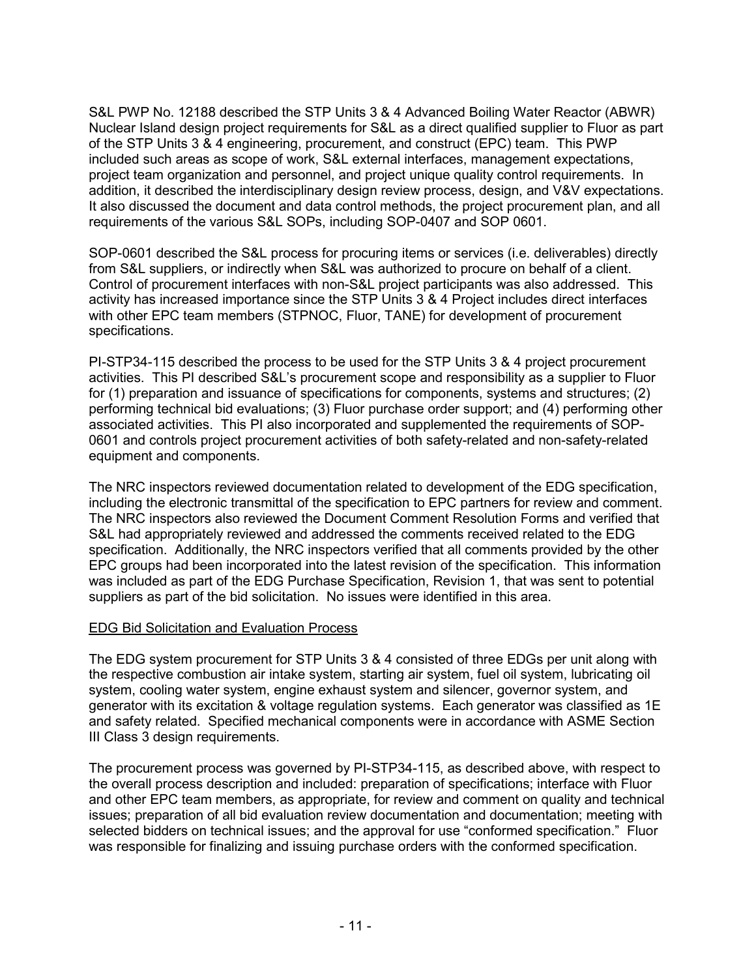S&L PWP No. 12188 described the STP Units 3 & 4 Advanced Boiling Water Reactor (ABWR) Nuclear Island design project requirements for S&L as a direct qualified supplier to Fluor as part of the STP Units 3 & 4 engineering, procurement, and construct (EPC) team. This PWP included such areas as scope of work, S&L external interfaces, management expectations, project team organization and personnel, and project unique quality control requirements. In addition, it described the interdisciplinary design review process, design, and V&V expectations. It also discussed the document and data control methods, the project procurement plan, and all requirements of the various S&L SOPs, including SOP-0407 and SOP 0601.

SOP-0601 described the S&L process for procuring items or services (i.e. deliverables) directly from S&L suppliers, or indirectly when S&L was authorized to procure on behalf of a client. Control of procurement interfaces with non-S&L project participants was also addressed. This activity has increased importance since the STP Units 3 & 4 Project includes direct interfaces with other EPC team members (STPNOC, Fluor, TANE) for development of procurement specifications.

PI-STP34-115 described the process to be used for the STP Units 3 & 4 project procurement activities. This PI described S&L's procurement scope and responsibility as a supplier to Fluor for (1) preparation and issuance of specifications for components, systems and structures; (2) performing technical bid evaluations; (3) Fluor purchase order support; and (4) performing other associated activities. This PI also incorporated and supplemented the requirements of SOP-0601 and controls project procurement activities of both safety-related and non-safety-related equipment and components.

The NRC inspectors reviewed documentation related to development of the EDG specification, including the electronic transmittal of the specification to EPC partners for review and comment. The NRC inspectors also reviewed the Document Comment Resolution Forms and verified that S&L had appropriately reviewed and addressed the comments received related to the EDG specification. Additionally, the NRC inspectors verified that all comments provided by the other EPC groups had been incorporated into the latest revision of the specification. This information was included as part of the EDG Purchase Specification, Revision 1, that was sent to potential suppliers as part of the bid solicitation. No issues were identified in this area.

#### EDG Bid Solicitation and Evaluation Process

The EDG system procurement for STP Units 3 & 4 consisted of three EDGs per unit along with the respective combustion air intake system, starting air system, fuel oil system, lubricating oil system, cooling water system, engine exhaust system and silencer, governor system, and generator with its excitation & voltage regulation systems. Each generator was classified as 1E and safety related. Specified mechanical components were in accordance with ASME Section III Class 3 design requirements.

The procurement process was governed by PI-STP34-115, as described above, with respect to the overall process description and included: preparation of specifications; interface with Fluor and other EPC team members, as appropriate, for review and comment on quality and technical issues; preparation of all bid evaluation review documentation and documentation; meeting with selected bidders on technical issues; and the approval for use "conformed specification." Fluor was responsible for finalizing and issuing purchase orders with the conformed specification.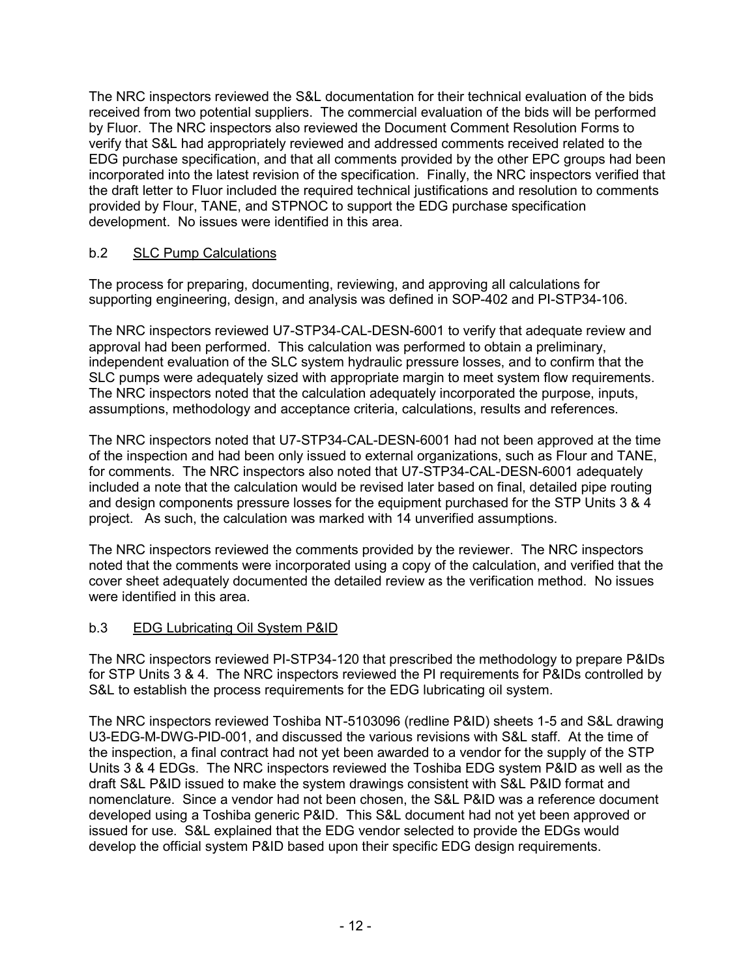The NRC inspectors reviewed the S&L documentation for their technical evaluation of the bids received from two potential suppliers. The commercial evaluation of the bids will be performed by Fluor. The NRC inspectors also reviewed the Document Comment Resolution Forms to verify that S&L had appropriately reviewed and addressed comments received related to the EDG purchase specification, and that all comments provided by the other EPC groups had been incorporated into the latest revision of the specification. Finally, the NRC inspectors verified that the draft letter to Fluor included the required technical justifications and resolution to comments provided by Flour, TANE, and STPNOC to support the EDG purchase specification development. No issues were identified in this area.

# b.2 SLC Pump Calculations

The process for preparing, documenting, reviewing, and approving all calculations for supporting engineering, design, and analysis was defined in SOP-402 and PI-STP34-106.

The NRC inspectors reviewed U7-STP34-CAL-DESN-6001 to verify that adequate review and approval had been performed. This calculation was performed to obtain a preliminary, independent evaluation of the SLC system hydraulic pressure losses, and to confirm that the SLC pumps were adequately sized with appropriate margin to meet system flow requirements. The NRC inspectors noted that the calculation adequately incorporated the purpose, inputs, assumptions, methodology and acceptance criteria, calculations, results and references.

The NRC inspectors noted that U7-STP34-CAL-DESN-6001 had not been approved at the time of the inspection and had been only issued to external organizations, such as Flour and TANE, for comments. The NRC inspectors also noted that U7-STP34-CAL-DESN-6001 adequately included a note that the calculation would be revised later based on final, detailed pipe routing and design components pressure losses for the equipment purchased for the STP Units 3 & 4 project. As such, the calculation was marked with 14 unverified assumptions.

The NRC inspectors reviewed the comments provided by the reviewer. The NRC inspectors noted that the comments were incorporated using a copy of the calculation, and verified that the cover sheet adequately documented the detailed review as the verification method. No issues were identified in this area.

## b.3 EDG Lubricating Oil System P&ID

The NRC inspectors reviewed PI-STP34-120 that prescribed the methodology to prepare P&IDs for STP Units 3 & 4. The NRC inspectors reviewed the PI requirements for P&IDs controlled by S&L to establish the process requirements for the EDG lubricating oil system.

The NRC inspectors reviewed Toshiba NT-5103096 (redline P&ID) sheets 1-5 and S&L drawing U3-EDG-M-DWG-PID-001, and discussed the various revisions with S&L staff. At the time of the inspection, a final contract had not yet been awarded to a vendor for the supply of the STP Units 3 & 4 EDGs. The NRC inspectors reviewed the Toshiba EDG system P&ID as well as the draft S&L P&ID issued to make the system drawings consistent with S&L P&ID format and nomenclature. Since a vendor had not been chosen, the S&L P&ID was a reference document developed using a Toshiba generic P&ID. This S&L document had not yet been approved or issued for use. S&L explained that the EDG vendor selected to provide the EDGs would develop the official system P&ID based upon their specific EDG design requirements.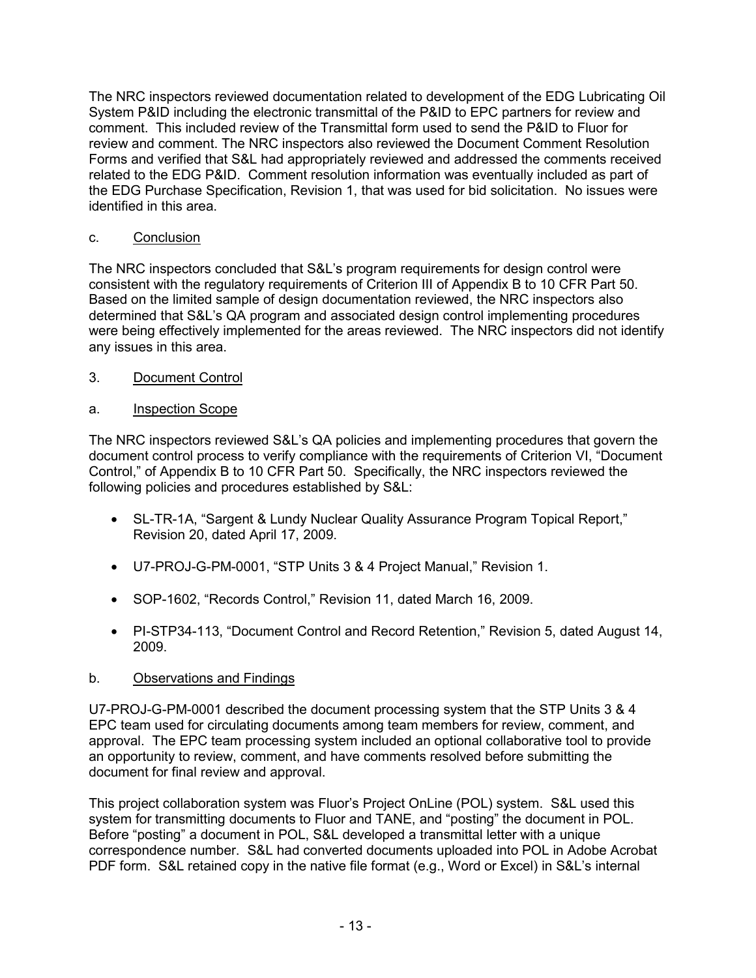The NRC inspectors reviewed documentation related to development of the EDG Lubricating Oil System P&ID including the electronic transmittal of the P&ID to EPC partners for review and comment. This included review of the Transmittal form used to send the P&ID to Fluor for review and comment. The NRC inspectors also reviewed the Document Comment Resolution Forms and verified that S&L had appropriately reviewed and addressed the comments received related to the EDG P&ID. Comment resolution information was eventually included as part of the EDG Purchase Specification, Revision 1, that was used for bid solicitation. No issues were identified in this area.

## c. Conclusion

The NRC inspectors concluded that S&L's program requirements for design control were consistent with the regulatory requirements of Criterion III of Appendix B to 10 CFR Part 50. Based on the limited sample of design documentation reviewed, the NRC inspectors also determined that S&L's QA program and associated design control implementing procedures were being effectively implemented for the areas reviewed. The NRC inspectors did not identify any issues in this area.

# 3. Document Control

# a. Inspection Scope

The NRC inspectors reviewed S&L's QA policies and implementing procedures that govern the document control process to verify compliance with the requirements of Criterion VI, "Document Control," of Appendix B to 10 CFR Part 50. Specifically, the NRC inspectors reviewed the following policies and procedures established by S&L:

- SL-TR-1A, "Sargent & Lundy Nuclear Quality Assurance Program Topical Report," Revision 20, dated April 17, 2009.
- U7-PROJ-G-PM-0001, "STP Units 3 & 4 Project Manual," Revision 1.
- SOP-1602, "Records Control," Revision 11, dated March 16, 2009.
- PI-STP34-113, "Document Control and Record Retention," Revision 5, dated August 14, 2009.

# b. Observations and Findings

U7-PROJ-G-PM-0001 described the document processing system that the STP Units 3 & 4 EPC team used for circulating documents among team members for review, comment, and approval. The EPC team processing system included an optional collaborative tool to provide an opportunity to review, comment, and have comments resolved before submitting the document for final review and approval.

This project collaboration system was Fluor's Project OnLine (POL) system. S&L used this system for transmitting documents to Fluor and TANE, and "posting" the document in POL. Before "posting" a document in POL, S&L developed a transmittal letter with a unique correspondence number. S&L had converted documents uploaded into POL in Adobe Acrobat PDF form. S&L retained copy in the native file format (e.g., Word or Excel) in S&L's internal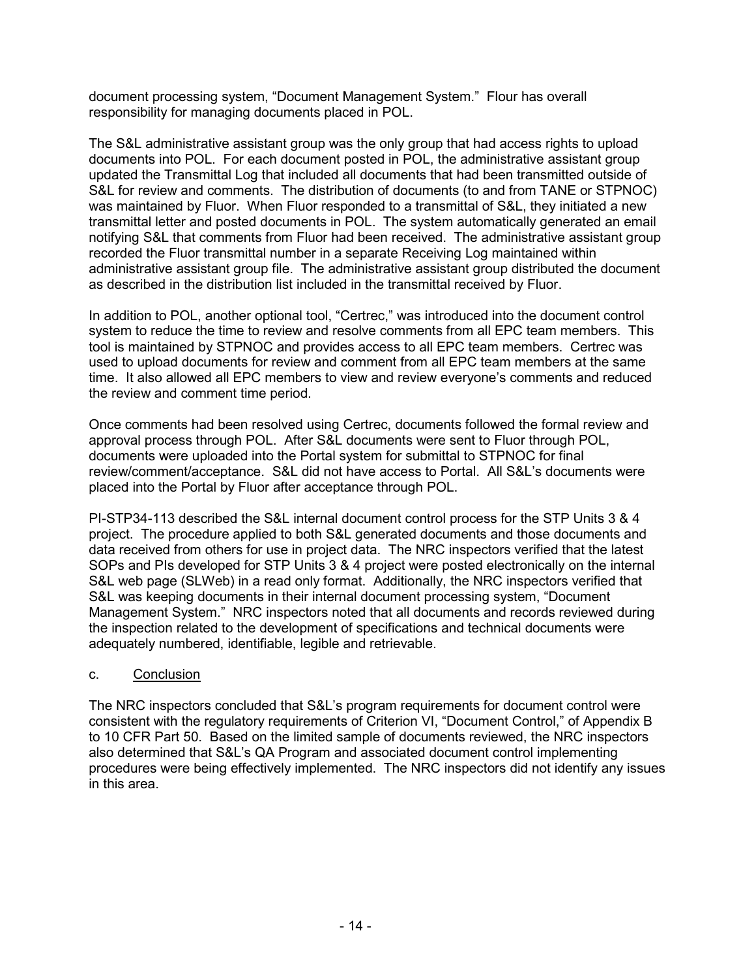document processing system, "Document Management System." Flour has overall responsibility for managing documents placed in POL.

The S&L administrative assistant group was the only group that had access rights to upload documents into POL. For each document posted in POL, the administrative assistant group updated the Transmittal Log that included all documents that had been transmitted outside of S&L for review and comments. The distribution of documents (to and from TANE or STPNOC) was maintained by Fluor. When Fluor responded to a transmittal of S&L, they initiated a new transmittal letter and posted documents in POL. The system automatically generated an email notifying S&L that comments from Fluor had been received. The administrative assistant group recorded the Fluor transmittal number in a separate Receiving Log maintained within administrative assistant group file. The administrative assistant group distributed the document as described in the distribution list included in the transmittal received by Fluor.

In addition to POL, another optional tool, "Certrec," was introduced into the document control system to reduce the time to review and resolve comments from all EPC team members. This tool is maintained by STPNOC and provides access to all EPC team members. Certrec was used to upload documents for review and comment from all EPC team members at the same time. It also allowed all EPC members to view and review everyone's comments and reduced the review and comment time period.

Once comments had been resolved using Certrec, documents followed the formal review and approval process through POL. After S&L documents were sent to Fluor through POL, documents were uploaded into the Portal system for submittal to STPNOC for final review/comment/acceptance. S&L did not have access to Portal. All S&L's documents were placed into the Portal by Fluor after acceptance through POL.

PI-STP34-113 described the S&L internal document control process for the STP Units 3 & 4 project. The procedure applied to both S&L generated documents and those documents and data received from others for use in project data. The NRC inspectors verified that the latest SOPs and PIs developed for STP Units 3 & 4 project were posted electronically on the internal S&L web page (SLWeb) in a read only format. Additionally, the NRC inspectors verified that S&L was keeping documents in their internal document processing system, "Document Management System." NRC inspectors noted that all documents and records reviewed during the inspection related to the development of specifications and technical documents were adequately numbered, identifiable, legible and retrievable.

#### c. Conclusion

The NRC inspectors concluded that S&L's program requirements for document control were consistent with the regulatory requirements of Criterion VI, "Document Control," of Appendix B to 10 CFR Part 50. Based on the limited sample of documents reviewed, the NRC inspectors also determined that S&L's QA Program and associated document control implementing procedures were being effectively implemented. The NRC inspectors did not identify any issues in this area.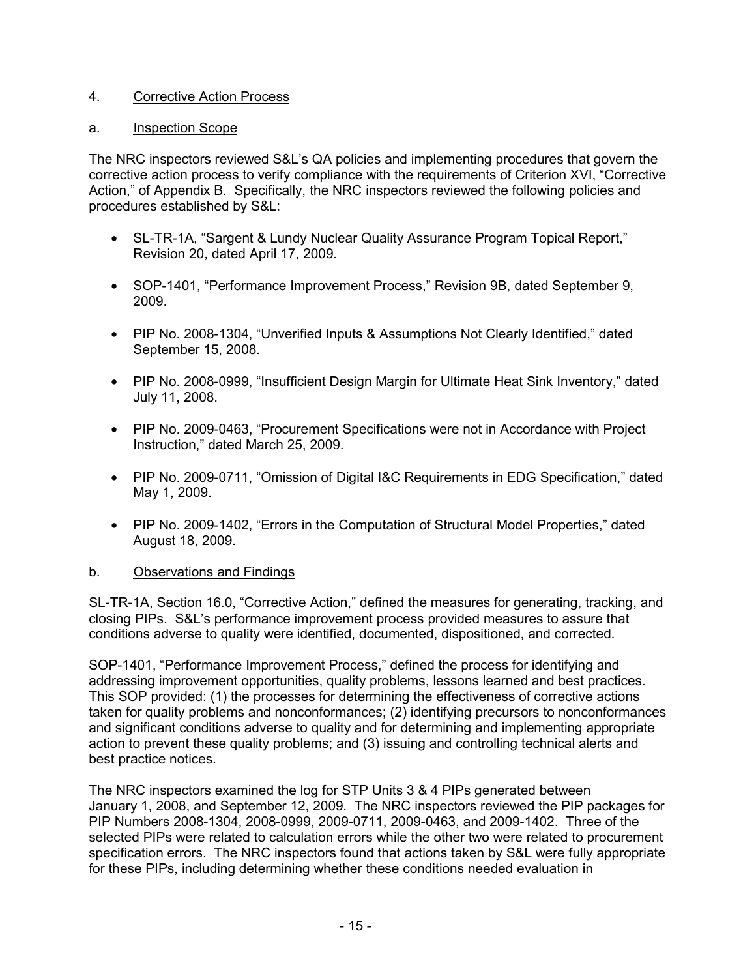## 4. Corrective Action Process

#### a. Inspection Scope

The NRC inspectors reviewed S&L's QA policies and implementing procedures that govern the corrective action process to verify compliance with the requirements of Criterion XVI, "Corrective Action," of Appendix B. Specifically, the NRC inspectors reviewed the following policies and procedures established by S&L:

- SL-TR-1A, "Sargent & Lundy Nuclear Quality Assurance Program Topical Report," Revision 20, dated April 17, 2009.
- SOP-1401, "Performance Improvement Process," Revision 9B, dated September 9, 2009.
- PIP No. 2008-1304, "Unverified Inputs & Assumptions Not Clearly Identified," dated September 15, 2008.
- PIP No. 2008-0999, "Insufficient Design Margin for Ultimate Heat Sink Inventory," dated July 11, 2008.
- PIP No. 2009-0463, "Procurement Specifications were not in Accordance with Project Instruction," dated March 25, 2009.
- PIP No. 2009-0711, "Omission of Digital I&C Requirements in EDG Specification," dated May 1, 2009.
- PIP No. 2009-1402, "Errors in the Computation of Structural Model Properties," dated August 18, 2009.

#### b. Observations and Findings

SL-TR-1A, Section 16.0, "Corrective Action," defined the measures for generating, tracking, and closing PIPs. S&L's performance improvement process provided measures to assure that conditions adverse to quality were identified, documented, dispositioned, and corrected.

SOP-1401, "Performance Improvement Process," defined the process for identifying and addressing improvement opportunities, quality problems, lessons learned and best practices. This SOP provided: (1) the processes for determining the effectiveness of corrective actions taken for quality problems and nonconformances; (2) identifying precursors to nonconformances and significant conditions adverse to quality and for determining and implementing appropriate action to prevent these quality problems; and (3) issuing and controlling technical alerts and best practice notices.

The NRC inspectors examined the log for STP Units 3 & 4 PIPs generated between January 1, 2008, and September 12, 2009. The NRC inspectors reviewed the PIP packages for PIP Numbers 2008-1304, 2008-0999, 2009-0711, 2009-0463, and 2009-1402. Three of the selected PIPs were related to calculation errors while the other two were related to procurement specification errors. The NRC inspectors found that actions taken by S&L were fully appropriate for these PIPs, including determining whether these conditions needed evaluation in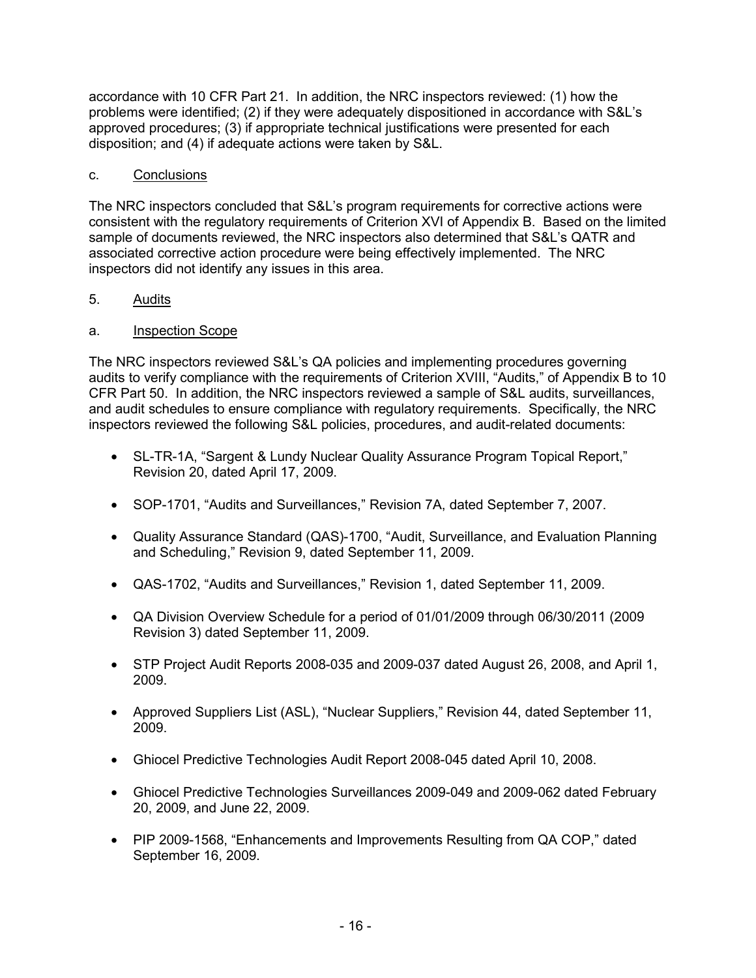accordance with 10 CFR Part 21. In addition, the NRC inspectors reviewed: (1) how the problems were identified; (2) if they were adequately dispositioned in accordance with S&L's approved procedures; (3) if appropriate technical justifications were presented for each disposition; and (4) if adequate actions were taken by S&L.

### c. Conclusions

The NRC inspectors concluded that S&L's program requirements for corrective actions were consistent with the regulatory requirements of Criterion XVI of Appendix B. Based on the limited sample of documents reviewed, the NRC inspectors also determined that S&L's QATR and associated corrective action procedure were being effectively implemented. The NRC inspectors did not identify any issues in this area.

### 5. Audits

### a. Inspection Scope

The NRC inspectors reviewed S&L's QA policies and implementing procedures governing audits to verify compliance with the requirements of Criterion XVIII, "Audits," of Appendix B to 10 CFR Part 50. In addition, the NRC inspectors reviewed a sample of S&L audits, surveillances, and audit schedules to ensure compliance with regulatory requirements. Specifically, the NRC inspectors reviewed the following S&L policies, procedures, and audit-related documents:

- SL-TR-1A, "Sargent & Lundy Nuclear Quality Assurance Program Topical Report," Revision 20, dated April 17, 2009.
- SOP-1701, "Audits and Surveillances," Revision 7A, dated September 7, 2007.
- Quality Assurance Standard (QAS)-1700, "Audit, Surveillance, and Evaluation Planning and Scheduling," Revision 9, dated September 11, 2009.
- QAS-1702, "Audits and Surveillances," Revision 1, dated September 11, 2009.
- QA Division Overview Schedule for a period of 01/01/2009 through 06/30/2011 (2009 Revision 3) dated September 11, 2009.
- STP Project Audit Reports 2008-035 and 2009-037 dated August 26, 2008, and April 1, 2009.
- Approved Suppliers List (ASL), "Nuclear Suppliers," Revision 44, dated September 11, 2009.
- Ghiocel Predictive Technologies Audit Report 2008-045 dated April 10, 2008.
- Ghiocel Predictive Technologies Surveillances 2009-049 and 2009-062 dated February 20, 2009, and June 22, 2009.
- PIP 2009-1568, "Enhancements and Improvements Resulting from QA COP," dated September 16, 2009.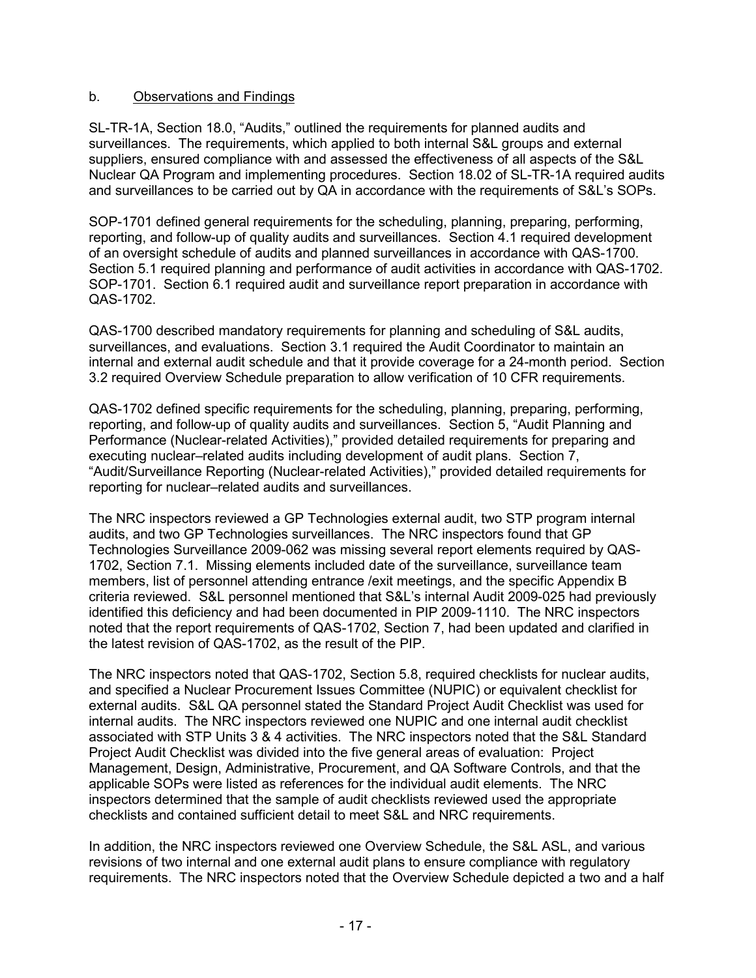### b. Observations and Findings

SL-TR-1A, Section 18.0, "Audits," outlined the requirements for planned audits and surveillances. The requirements, which applied to both internal S&L groups and external suppliers, ensured compliance with and assessed the effectiveness of all aspects of the S&L Nuclear QA Program and implementing procedures. Section 18.02 of SL-TR-1A required audits and surveillances to be carried out by QA in accordance with the requirements of S&L's SOPs.

SOP-1701 defined general requirements for the scheduling, planning, preparing, performing, reporting, and follow-up of quality audits and surveillances. Section 4.1 required development of an oversight schedule of audits and planned surveillances in accordance with QAS-1700. Section 5.1 required planning and performance of audit activities in accordance with QAS-1702. SOP-1701. Section 6.1 required audit and surveillance report preparation in accordance with QAS-1702.

QAS-1700 described mandatory requirements for planning and scheduling of S&L audits, surveillances, and evaluations. Section 3.1 required the Audit Coordinator to maintain an internal and external audit schedule and that it provide coverage for a 24-month period. Section 3.2 required Overview Schedule preparation to allow verification of 10 CFR requirements.

QAS-1702 defined specific requirements for the scheduling, planning, preparing, performing, reporting, and follow-up of quality audits and surveillances. Section 5, "Audit Planning and Performance (Nuclear-related Activities)," provided detailed requirements for preparing and executing nuclear–related audits including development of audit plans. Section 7, "Audit/Surveillance Reporting (Nuclear-related Activities)," provided detailed requirements for reporting for nuclear–related audits and surveillances.

The NRC inspectors reviewed a GP Technologies external audit, two STP program internal audits, and two GP Technologies surveillances. The NRC inspectors found that GP Technologies Surveillance 2009-062 was missing several report elements required by QAS-1702, Section 7.1. Missing elements included date of the surveillance, surveillance team members, list of personnel attending entrance /exit meetings, and the specific Appendix B criteria reviewed. S&L personnel mentioned that S&L's internal Audit 2009-025 had previously identified this deficiency and had been documented in PIP 2009-1110. The NRC inspectors noted that the report requirements of QAS-1702, Section 7, had been updated and clarified in the latest revision of QAS-1702, as the result of the PIP.

The NRC inspectors noted that QAS-1702, Section 5.8, required checklists for nuclear audits, and specified a Nuclear Procurement Issues Committee (NUPIC) or equivalent checklist for external audits. S&L QA personnel stated the Standard Project Audit Checklist was used for internal audits. The NRC inspectors reviewed one NUPIC and one internal audit checklist associated with STP Units 3 & 4 activities. The NRC inspectors noted that the S&L Standard Project Audit Checklist was divided into the five general areas of evaluation: Project Management, Design, Administrative, Procurement, and QA Software Controls, and that the applicable SOPs were listed as references for the individual audit elements. The NRC inspectors determined that the sample of audit checklists reviewed used the appropriate checklists and contained sufficient detail to meet S&L and NRC requirements.

In addition, the NRC inspectors reviewed one Overview Schedule, the S&L ASL, and various revisions of two internal and one external audit plans to ensure compliance with regulatory requirements. The NRC inspectors noted that the Overview Schedule depicted a two and a half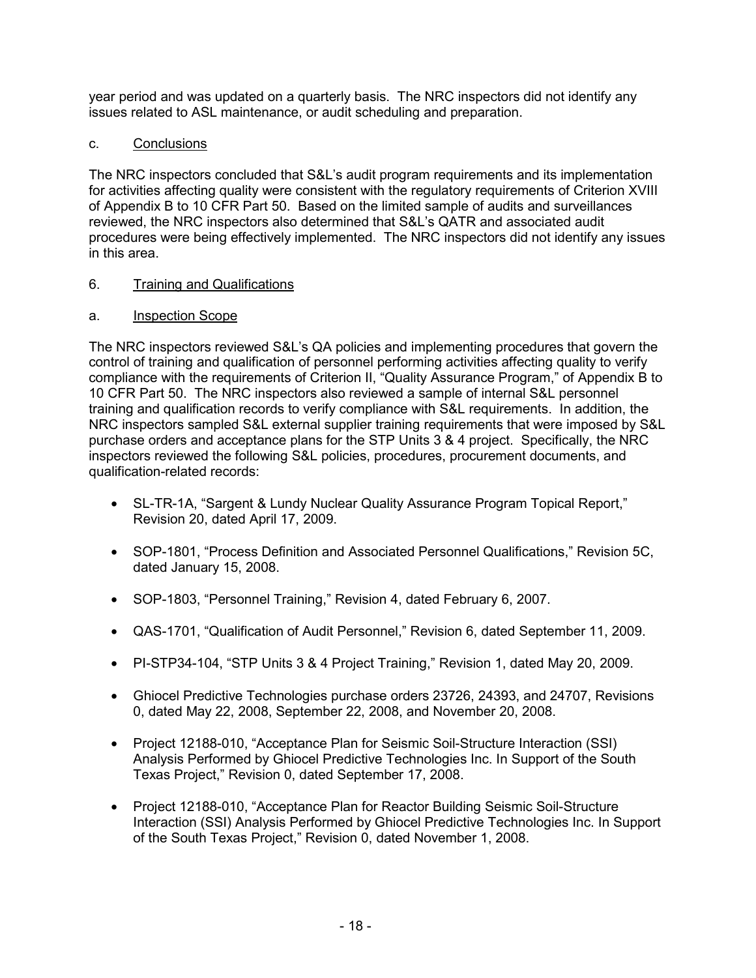year period and was updated on a quarterly basis. The NRC inspectors did not identify any issues related to ASL maintenance, or audit scheduling and preparation.

### c. Conclusions

The NRC inspectors concluded that S&L's audit program requirements and its implementation for activities affecting quality were consistent with the regulatory requirements of Criterion XVIII of Appendix B to 10 CFR Part 50. Based on the limited sample of audits and surveillances reviewed, the NRC inspectors also determined that S&L's QATR and associated audit procedures were being effectively implemented. The NRC inspectors did not identify any issues in this area.

### 6. Training and Qualifications

### a. Inspection Scope

The NRC inspectors reviewed S&L's QA policies and implementing procedures that govern the control of training and qualification of personnel performing activities affecting quality to verify compliance with the requirements of Criterion II, "Quality Assurance Program," of Appendix B to 10 CFR Part 50. The NRC inspectors also reviewed a sample of internal S&L personnel training and qualification records to verify compliance with S&L requirements. In addition, the NRC inspectors sampled S&L external supplier training requirements that were imposed by S&L purchase orders and acceptance plans for the STP Units 3 & 4 project. Specifically, the NRC inspectors reviewed the following S&L policies, procedures, procurement documents, and qualification-related records:

- SL-TR-1A, "Sargent & Lundy Nuclear Quality Assurance Program Topical Report," Revision 20, dated April 17, 2009.
- SOP-1801, "Process Definition and Associated Personnel Qualifications," Revision 5C, dated January 15, 2008.
- SOP-1803, "Personnel Training," Revision 4, dated February 6, 2007.
- QAS-1701, "Qualification of Audit Personnel," Revision 6, dated September 11, 2009.
- PI-STP34-104, "STP Units 3 & 4 Project Training," Revision 1, dated May 20, 2009.
- Ghiocel Predictive Technologies purchase orders 23726, 24393, and 24707, Revisions 0, dated May 22, 2008, September 22, 2008, and November 20, 2008.
- Project 12188-010, "Acceptance Plan for Seismic Soil-Structure Interaction (SSI) Analysis Performed by Ghiocel Predictive Technologies Inc. In Support of the South Texas Project," Revision 0, dated September 17, 2008.
- Project 12188-010, "Acceptance Plan for Reactor Building Seismic Soil-Structure Interaction (SSI) Analysis Performed by Ghiocel Predictive Technologies Inc. In Support of the South Texas Project," Revision 0, dated November 1, 2008.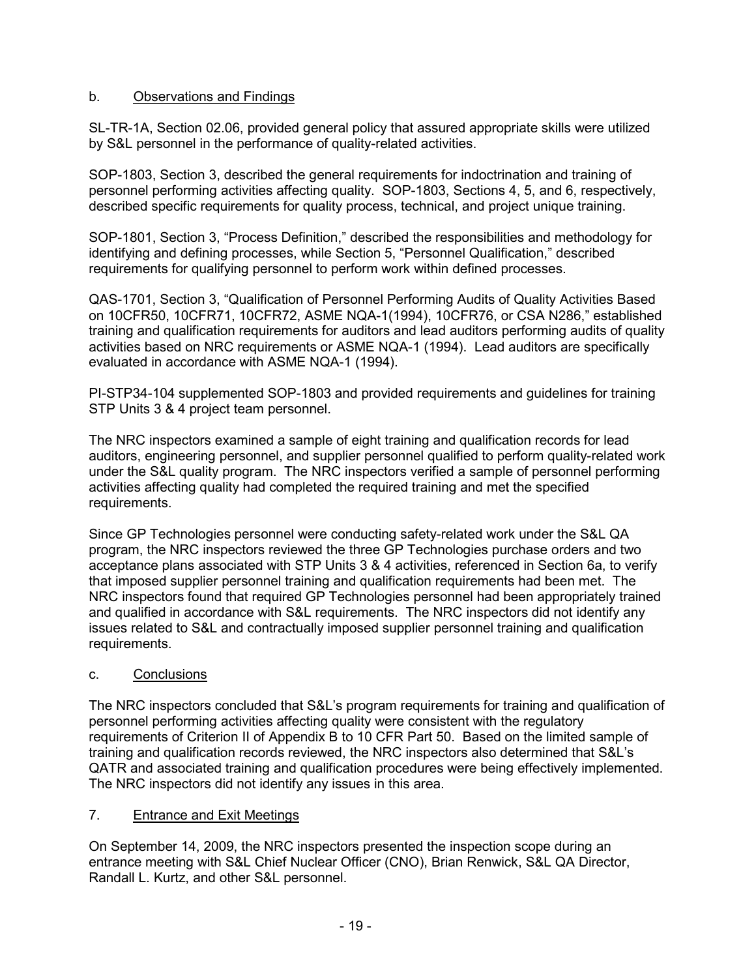### b. Observations and Findings

SL-TR-1A, Section 02.06, provided general policy that assured appropriate skills were utilized by S&L personnel in the performance of quality-related activities.

SOP-1803, Section 3, described the general requirements for indoctrination and training of personnel performing activities affecting quality. SOP-1803, Sections 4, 5, and 6, respectively, described specific requirements for quality process, technical, and project unique training.

SOP-1801, Section 3, "Process Definition," described the responsibilities and methodology for identifying and defining processes, while Section 5, "Personnel Qualification," described requirements for qualifying personnel to perform work within defined processes.

QAS-1701, Section 3, "Qualification of Personnel Performing Audits of Quality Activities Based on 10CFR50, 10CFR71, 10CFR72, ASME NQA-1(1994), 10CFR76, or CSA N286," established training and qualification requirements for auditors and lead auditors performing audits of quality activities based on NRC requirements or ASME NQA-1 (1994). Lead auditors are specifically evaluated in accordance with ASME NQA-1 (1994).

PI-STP34-104 supplemented SOP-1803 and provided requirements and guidelines for training STP Units 3 & 4 project team personnel.

The NRC inspectors examined a sample of eight training and qualification records for lead auditors, engineering personnel, and supplier personnel qualified to perform quality-related work under the S&L quality program. The NRC inspectors verified a sample of personnel performing activities affecting quality had completed the required training and met the specified requirements.

Since GP Technologies personnel were conducting safety-related work under the S&L QA program, the NRC inspectors reviewed the three GP Technologies purchase orders and two acceptance plans associated with STP Units 3 & 4 activities, referenced in Section 6a, to verify that imposed supplier personnel training and qualification requirements had been met. The NRC inspectors found that required GP Technologies personnel had been appropriately trained and qualified in accordance with S&L requirements. The NRC inspectors did not identify any issues related to S&L and contractually imposed supplier personnel training and qualification requirements.

## c. Conclusions

The NRC inspectors concluded that S&L's program requirements for training and qualification of personnel performing activities affecting quality were consistent with the regulatory requirements of Criterion II of Appendix B to 10 CFR Part 50. Based on the limited sample of training and qualification records reviewed, the NRC inspectors also determined that S&L's QATR and associated training and qualification procedures were being effectively implemented. The NRC inspectors did not identify any issues in this area.

#### 7. Entrance and Exit Meetings

On September 14, 2009, the NRC inspectors presented the inspection scope during an entrance meeting with S&L Chief Nuclear Officer (CNO), Brian Renwick, S&L QA Director, Randall L. Kurtz, and other S&L personnel.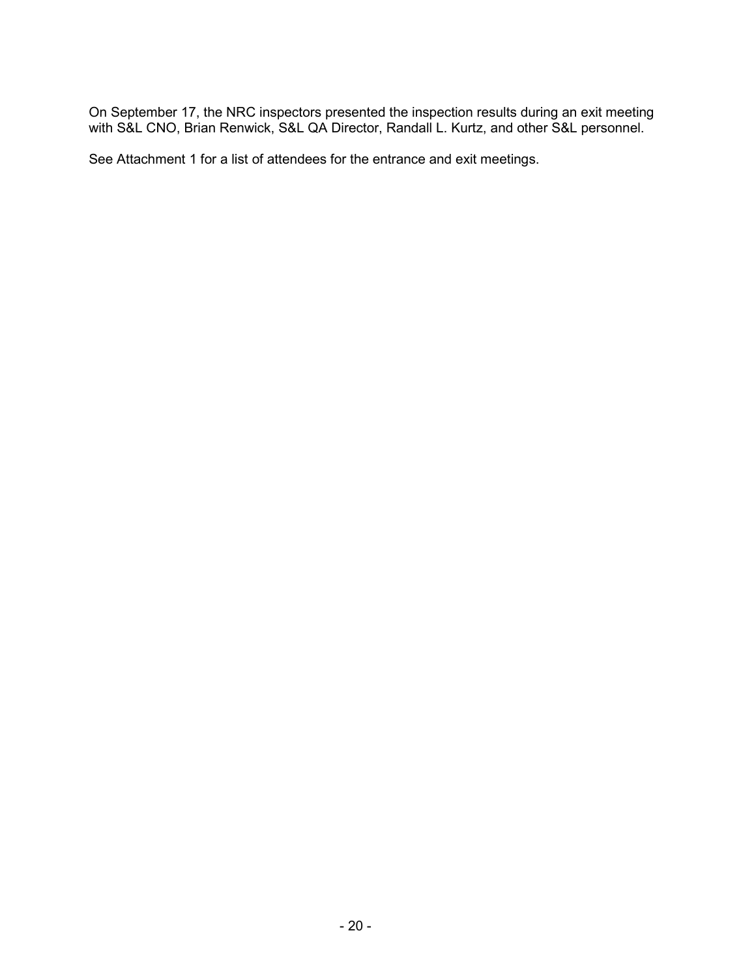On September 17, the NRC inspectors presented the inspection results during an exit meeting with S&L CNO, Brian Renwick, S&L QA Director, Randall L. Kurtz, and other S&L personnel.

See Attachment 1 for a list of attendees for the entrance and exit meetings.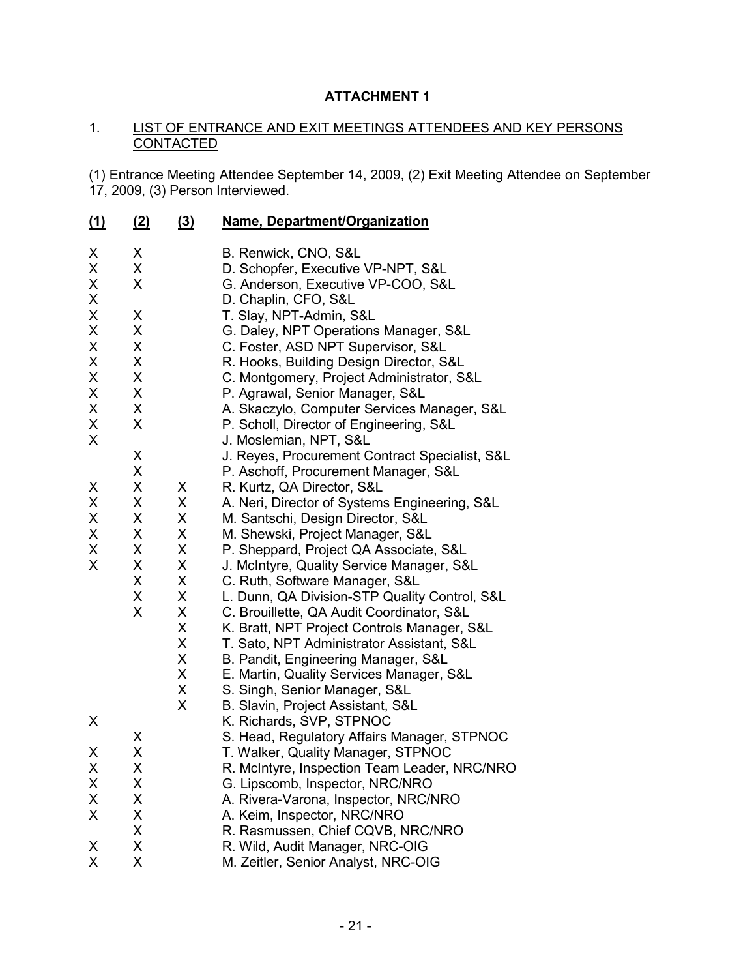## **ATTACHMENT 1**

### 1. LIST OF ENTRANCE AND EXIT MEETINGS ATTENDEES AND KEY PERSONS **CONTACTED**

(1) Entrance Meeting Attendee September 14, 2009, (2) Exit Meeting Attendee on September 17, 2009, (3) Person Interviewed.

| $\mathbf{\underline{(1)}}$ | <u>(2)</u> | (3) | Name, Department/Organization                  |  |  |
|----------------------------|------------|-----|------------------------------------------------|--|--|
| X                          | X          |     | B. Renwick, CNO, S&L                           |  |  |
| X                          | X          |     | D. Schopfer, Executive VP-NPT, S&L             |  |  |
| X                          | X          |     | G. Anderson, Executive VP-COO, S&L             |  |  |
| X                          |            |     | D. Chaplin, CFO, S&L                           |  |  |
| X                          | X          |     | T. Slay, NPT-Admin, S&L                        |  |  |
| X                          | X          |     | G. Daley, NPT Operations Manager, S&L          |  |  |
| X                          | X          |     | C. Foster, ASD NPT Supervisor, S&L             |  |  |
| X                          | X          |     | R. Hooks, Building Design Director, S&L        |  |  |
| X                          | X          |     | C. Montgomery, Project Administrator, S&L      |  |  |
| X                          | X          |     | P. Agrawal, Senior Manager, S&L                |  |  |
| X                          | X          |     | A. Skaczylo, Computer Services Manager, S&L    |  |  |
| X                          | X          |     | P. Scholl, Director of Engineering, S&L        |  |  |
| X                          |            |     | J. Moslemian, NPT, S&L                         |  |  |
|                            | X          |     | J. Reyes, Procurement Contract Specialist, S&L |  |  |
|                            | X          |     | P. Aschoff, Procurement Manager, S&L           |  |  |
| X                          | X          | X   | R. Kurtz, QA Director, S&L                     |  |  |
| X                          | X          | X   | A. Neri, Director of Systems Engineering, S&L  |  |  |
| X                          | X          | X   | M. Santschi, Design Director, S&L              |  |  |
| X                          | X          | X   | M. Shewski, Project Manager, S&L               |  |  |
| X                          | X          | X   | P. Sheppard, Project QA Associate, S&L         |  |  |
| X                          | X          | X   | J. McIntyre, Quality Service Manager, S&L      |  |  |
|                            | X          | X   | C. Ruth, Software Manager, S&L                 |  |  |
|                            | X          | X   | L. Dunn, QA Division-STP Quality Control, S&L  |  |  |
|                            | X          | X   | C. Brouillette, QA Audit Coordinator, S&L      |  |  |
|                            |            | X   | K. Bratt, NPT Project Controls Manager, S&L    |  |  |
|                            |            | X   | T. Sato, NPT Administrator Assistant, S&L      |  |  |
|                            |            | X   | B. Pandit, Engineering Manager, S&L            |  |  |
|                            |            | X   | E. Martin, Quality Services Manager, S&L       |  |  |
|                            |            | X   | S. Singh, Senior Manager, S&L                  |  |  |
|                            |            | X   | B. Slavin, Project Assistant, S&L              |  |  |
| X                          |            |     | K. Richards, SVP, STPNOC                       |  |  |
|                            | X          |     | S. Head, Regulatory Affairs Manager, STPNOC    |  |  |
| X                          | X          |     | T. Walker, Quality Manager, STPNOC             |  |  |
| Χ                          | X          |     | R. McIntyre, Inspection Team Leader, NRC/NRO   |  |  |
| X                          | X          |     | G. Lipscomb, Inspector, NRC/NRO                |  |  |
| X                          | X          |     | A. Rivera-Varona, Inspector, NRC/NRO           |  |  |
| X                          | X          |     | A. Keim, Inspector, NRC/NRO                    |  |  |
|                            | X          |     | R. Rasmussen, Chief CQVB, NRC/NRO              |  |  |
| X                          | X          |     | R. Wild, Audit Manager, NRC-OIG                |  |  |
| X                          | X          |     | M. Zeitler, Senior Analyst, NRC-OIG            |  |  |